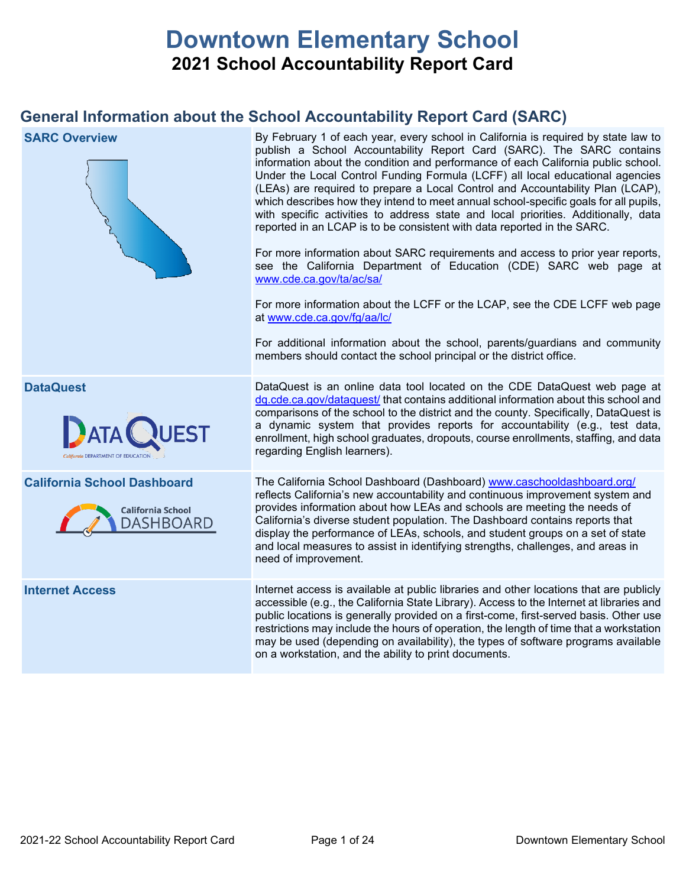# **Downtown Elementary School 2021 School Accountability Report Card**

## **General Information about the School Accountability Report Card (SARC)**

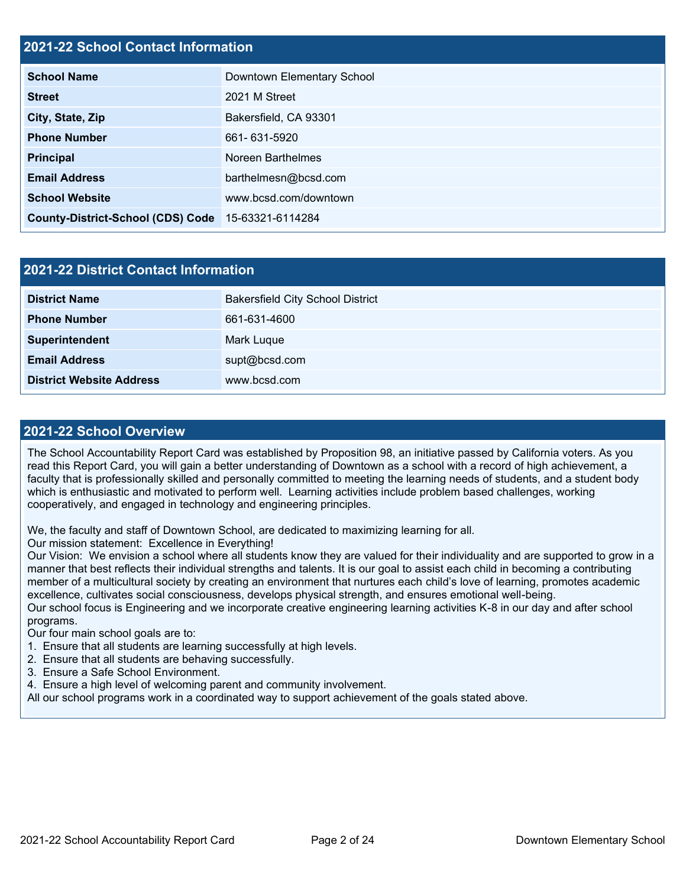## **2021-22 School Contact Information**

| <b>School Name</b>                                 | Downtown Elementary School |
|----------------------------------------------------|----------------------------|
| <b>Street</b>                                      | 2021 M Street              |
| City, State, Zip                                   | Bakersfield, CA 93301      |
| <b>Phone Number</b>                                | 661-631-5920               |
| <b>Principal</b>                                   | Noreen Barthelmes          |
| <b>Email Address</b>                               | barthelmesn@bcsd.com       |
| <b>School Website</b>                              | www.bcsd.com/downtown      |
| County-District-School (CDS) Code 15-63321-6114284 |                            |

| <b>2021-22 District Contact Information</b> |                                         |  |  |
|---------------------------------------------|-----------------------------------------|--|--|
| <b>District Name</b>                        | <b>Bakersfield City School District</b> |  |  |
| <b>Phone Number</b>                         | 661-631-4600                            |  |  |
| Superintendent                              | Mark Luque                              |  |  |
| <b>Email Address</b>                        | supt@bcsd.com                           |  |  |
| <b>District Website Address</b>             | www.bcsd.com                            |  |  |

#### **2021-22 School Overview**

The School Accountability Report Card was established by Proposition 98, an initiative passed by California voters. As you read this Report Card, you will gain a better understanding of Downtown as a school with a record of high achievement, a faculty that is professionally skilled and personally committed to meeting the learning needs of students, and a student body which is enthusiastic and motivated to perform well. Learning activities include problem based challenges, working cooperatively, and engaged in technology and engineering principles.

We, the faculty and staff of Downtown School, are dedicated to maximizing learning for all.

Our mission statement: Excellence in Everything!

Our Vision: We envision a school where all students know they are valued for their individuality and are supported to grow in a manner that best reflects their individual strengths and talents. It is our goal to assist each child in becoming a contributing member of a multicultural society by creating an environment that nurtures each child's love of learning, promotes academic excellence, cultivates social consciousness, develops physical strength, and ensures emotional well-being. Our school focus is Engineering and we incorporate creative engineering learning activities K-8 in our day and after school

programs.

Our four main school goals are to:

- 1. Ensure that all students are learning successfully at high levels.
- 2. Ensure that all students are behaving successfully.
- 3. Ensure a Safe School Environment.
- 4. Ensure a high level of welcoming parent and community involvement.

All our school programs work in a coordinated way to support achievement of the goals stated above.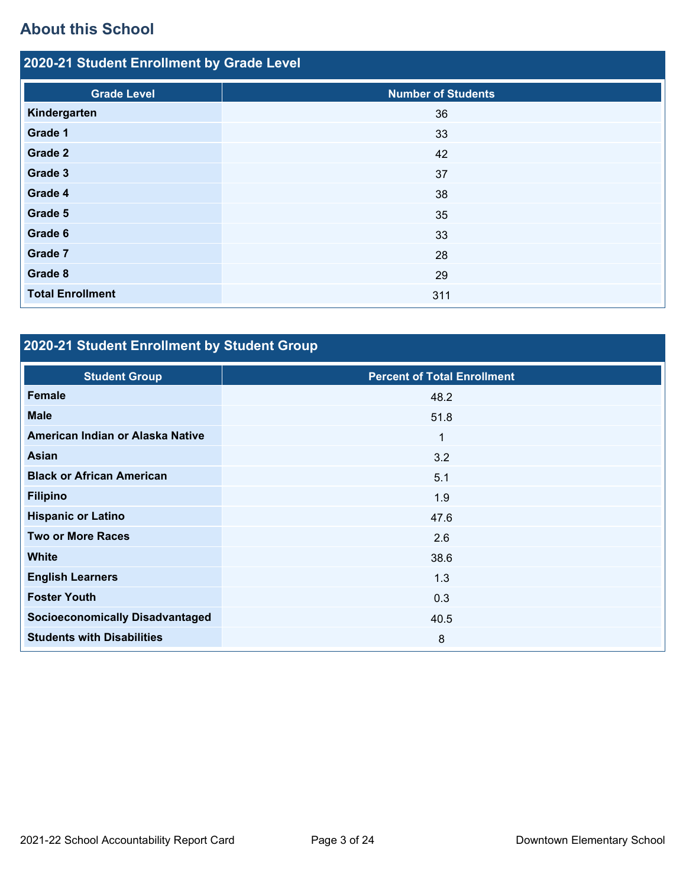## **About this School**

| 2020-21 Student Enrollment by Grade Level |                           |  |  |  |
|-------------------------------------------|---------------------------|--|--|--|
| <b>Grade Level</b>                        | <b>Number of Students</b> |  |  |  |
| Kindergarten                              | 36                        |  |  |  |
| Grade 1                                   | 33                        |  |  |  |
| Grade 2                                   | 42                        |  |  |  |
| Grade 3                                   | 37                        |  |  |  |
| Grade 4                                   | 38                        |  |  |  |
| Grade 5                                   | 35                        |  |  |  |
| Grade 6                                   | 33                        |  |  |  |
| Grade 7                                   | 28                        |  |  |  |
| Grade 8                                   | 29                        |  |  |  |
| <b>Total Enrollment</b>                   | 311                       |  |  |  |

## **2020-21 Student Enrollment by Student Group**

| <b>Student Group</b>                   | <b>Percent of Total Enrollment</b> |
|----------------------------------------|------------------------------------|
| Female                                 | 48.2                               |
| <b>Male</b>                            | 51.8                               |
| American Indian or Alaska Native       | $\mathbf 1$                        |
| <b>Asian</b>                           | 3.2                                |
| <b>Black or African American</b>       | 5.1                                |
| <b>Filipino</b>                        | 1.9                                |
| <b>Hispanic or Latino</b>              | 47.6                               |
| <b>Two or More Races</b>               | 2.6                                |
| <b>White</b>                           | 38.6                               |
| <b>English Learners</b>                | 1.3                                |
| <b>Foster Youth</b>                    | 0.3                                |
| <b>Socioeconomically Disadvantaged</b> | 40.5                               |
| <b>Students with Disabilities</b>      | 8                                  |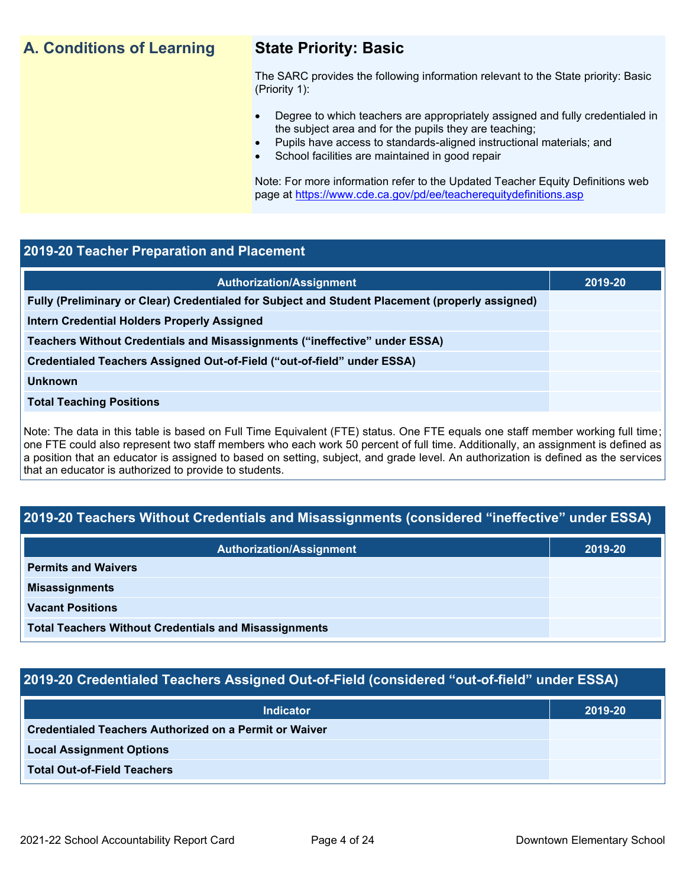## **A. Conditions of Learning State Priority: Basic**

The SARC provides the following information relevant to the State priority: Basic (Priority 1):

- Degree to which teachers are appropriately assigned and fully credentialed in the subject area and for the pupils they are teaching;
	- Pupils have access to standards-aligned instructional materials; and
- School facilities are maintained in good repair

Note: For more information refer to the Updated Teacher Equity Definitions web page at<https://www.cde.ca.gov/pd/ee/teacherequitydefinitions.asp>

### **2019-20 Teacher Preparation and Placement**

| <b>Authorization/Assignment</b>                                                                 | 2019-20 |
|-------------------------------------------------------------------------------------------------|---------|
| Fully (Preliminary or Clear) Credentialed for Subject and Student Placement (properly assigned) |         |
| Intern Credential Holders Properly Assigned                                                     |         |
| Teachers Without Credentials and Misassignments ("ineffective" under ESSA)                      |         |
| Credentialed Teachers Assigned Out-of-Field ("out-of-field" under ESSA)                         |         |
| <b>Unknown</b>                                                                                  |         |
| <b>Total Teaching Positions</b>                                                                 |         |
|                                                                                                 |         |

Note: The data in this table is based on Full Time Equivalent (FTE) status. One FTE equals one staff member working full time; one FTE could also represent two staff members who each work 50 percent of full time. Additionally, an assignment is defined as a position that an educator is assigned to based on setting, subject, and grade level. An authorization is defined as the services that an educator is authorized to provide to students.

## **2019-20 Teachers Without Credentials and Misassignments (considered "ineffective" under ESSA)**

| <b>Authorization/Assignment</b>                              | 2019-20 |
|--------------------------------------------------------------|---------|
| <b>Permits and Waivers</b>                                   |         |
| <b>Misassignments</b>                                        |         |
| <b>Vacant Positions</b>                                      |         |
| <b>Total Teachers Without Credentials and Misassignments</b> |         |

## **2019-20 Credentialed Teachers Assigned Out-of-Field (considered "out-of-field" under ESSA)**

| <b>Indicator</b>                                       | 2019-20 |
|--------------------------------------------------------|---------|
| Credentialed Teachers Authorized on a Permit or Waiver |         |
| <b>Local Assignment Options</b>                        |         |
| <b>Total Out-of-Field Teachers</b>                     |         |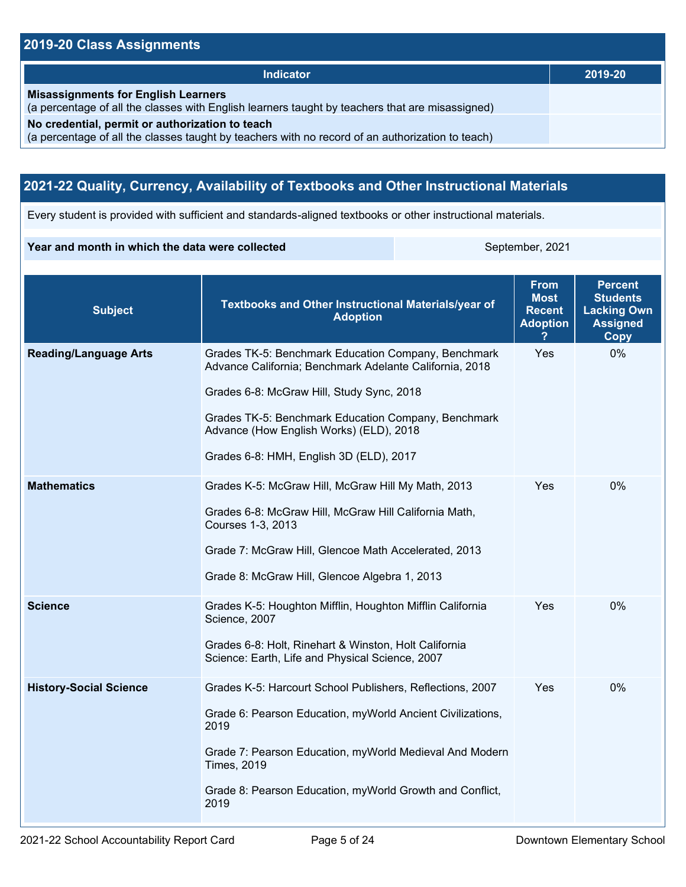## **2019-20 Class Assignments**

| <b>Indicator</b>                                                                                                                                    | 2019-20 |
|-----------------------------------------------------------------------------------------------------------------------------------------------------|---------|
| <b>Misassignments for English Learners</b><br>(a percentage of all the classes with English learners taught by teachers that are misassigned)       |         |
| No credential, permit or authorization to teach<br>(a percentage of all the classes taught by teachers with no record of an authorization to teach) |         |

## **2021-22 Quality, Currency, Availability of Textbooks and Other Instructional Materials**

Every student is provided with sufficient and standards-aligned textbooks or other instructional materials.

#### **Year and month in which the data were collected** September, 2021

| <b>Subject</b>                                                                                                                                                                                           | <b>Textbooks and Other Instructional Materials/year of</b><br><b>Adoption</b>                                                                                                                                                                                                                            | <b>From</b><br><b>Most</b><br><b>Recent</b><br><b>Adoption</b> | <b>Percent</b><br><b>Students</b><br><b>Lacking Own</b><br><b>Assigned</b><br>Copy |
|----------------------------------------------------------------------------------------------------------------------------------------------------------------------------------------------------------|----------------------------------------------------------------------------------------------------------------------------------------------------------------------------------------------------------------------------------------------------------------------------------------------------------|----------------------------------------------------------------|------------------------------------------------------------------------------------|
| <b>Reading/Language Arts</b>                                                                                                                                                                             | Grades TK-5: Benchmark Education Company, Benchmark<br>Advance California; Benchmark Adelante California, 2018<br>Grades 6-8: McGraw Hill, Study Sync, 2018<br>Grades TK-5: Benchmark Education Company, Benchmark<br>Advance (How English Works) (ELD), 2018<br>Grades 6-8: HMH, English 3D (ELD), 2017 | Yes                                                            | $0\%$                                                                              |
| <b>Mathematics</b>                                                                                                                                                                                       | Grades K-5: McGraw Hill, McGraw Hill My Math, 2013<br>Grades 6-8: McGraw Hill, McGraw Hill California Math,<br>Courses 1-3, 2013<br>Grade 7: McGraw Hill, Glencoe Math Accelerated, 2013<br>Grade 8: McGraw Hill, Glencoe Algebra 1, 2013                                                                |                                                                | 0%                                                                                 |
| <b>Science</b><br>Grades K-5: Houghton Mifflin, Houghton Mifflin California<br>Science, 2007<br>Grades 6-8: Holt, Rinehart & Winston, Holt California<br>Science: Earth, Life and Physical Science, 2007 |                                                                                                                                                                                                                                                                                                          | Yes                                                            | $0\%$                                                                              |
| <b>History-Social Science</b>                                                                                                                                                                            | Grades K-5: Harcourt School Publishers, Reflections, 2007<br>Grade 6: Pearson Education, myWorld Ancient Civilizations,<br>2019<br>Grade 7: Pearson Education, myWorld Medieval And Modern<br><b>Times, 2019</b><br>Grade 8: Pearson Education, myWorld Growth and Conflict,<br>2019                     |                                                                | 0%                                                                                 |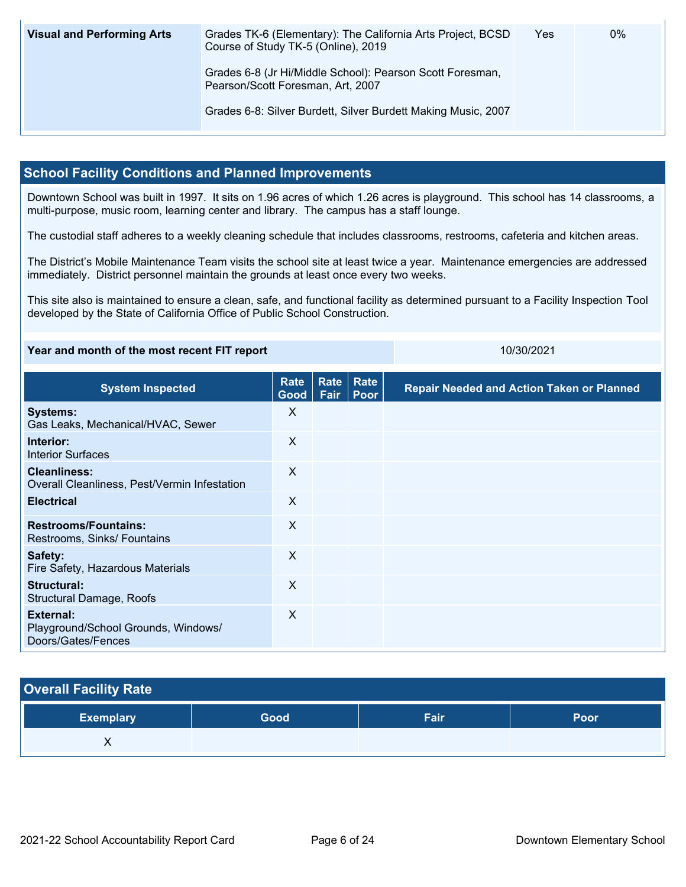| <b>Visual and Performing Arts</b> | Grades TK-6 (Elementary): The California Arts Project, BCSD<br>Course of Study TK-5 (Online), 2019 | Yes | $0\%$ |
|-----------------------------------|----------------------------------------------------------------------------------------------------|-----|-------|
|                                   | Grades 6-8 (Jr Hi/Middle School): Pearson Scott Foresman,<br>Pearson/Scott Foresman, Art, 2007     |     |       |
|                                   | Grades 6-8: Silver Burdett, Silver Burdett Making Music, 2007                                      |     |       |

### **School Facility Conditions and Planned Improvements**

Downtown School was built in 1997. It sits on 1.96 acres of which 1.26 acres is playground. This school has 14 classrooms, a multi-purpose, music room, learning center and library. The campus has a staff lounge.

The custodial staff adheres to a weekly cleaning schedule that includes classrooms, restrooms, cafeteria and kitchen areas.

The District's Mobile Maintenance Team visits the school site at least twice a year. Maintenance emergencies are addressed immediately. District personnel maintain the grounds at least once every two weeks.

This site also is maintained to ensure a clean, safe, and functional facility as determined pursuant to a Facility Inspection Tool developed by the State of California Office of Public School Construction.

| Year and month of the most recent FIT report | 10/30/2021 |
|----------------------------------------------|------------|
|                                              |            |

**System Inspected Rate Good Rate Rate Fair Poor Repair Needed and Action Taken or Planned Systems:** Gas Leaks, Mechanical/HVAC, Sewer X **Interior:** Interior Surfaces X **Cleanliness:** Overall Cleanliness, Pest/Vermin Infestation X **Electrical** X **Restrooms/Fountains:** Restrooms, Sinks/ Fountains X **Safety:** Fire Safety, Hazardous Materials X **Structural:** Structural Damage, Roofs X **External:** Playground/School Grounds, Windows/ Doors/Gates/Fences X

## **Overall Facility Rate**

| Exemplary <sup>1</sup> | <b>Good</b> | - - -<br>-ан | Poor |
|------------------------|-------------|--------------|------|
|                        |             |              |      |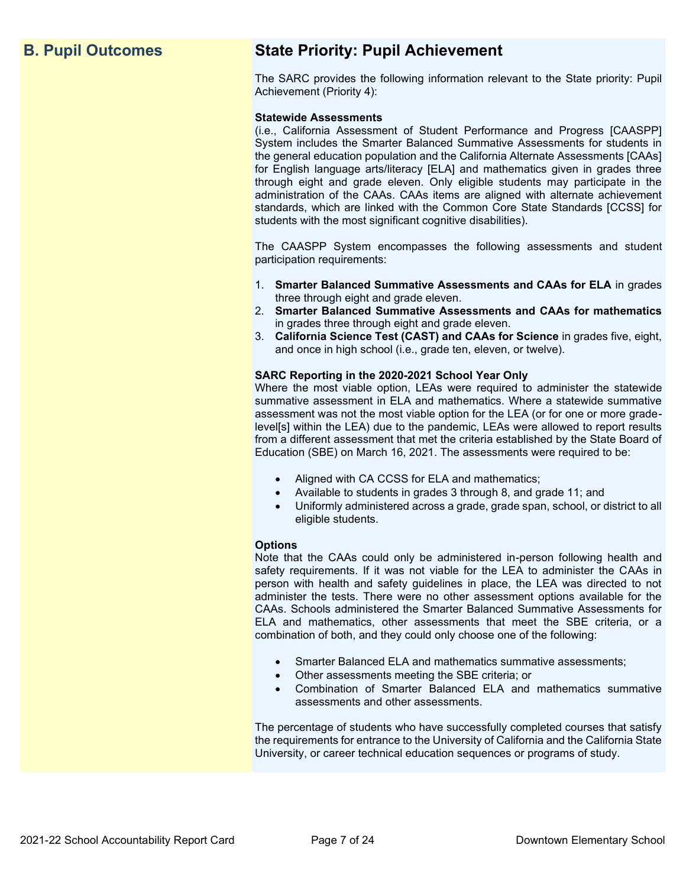## **B. Pupil Outcomes State Priority: Pupil Achievement**

The SARC provides the following information relevant to the State priority: Pupil Achievement (Priority 4):

#### **Statewide Assessments**

(i.e., California Assessment of Student Performance and Progress [CAASPP] System includes the Smarter Balanced Summative Assessments for students in the general education population and the California Alternate Assessments [CAAs] for English language arts/literacy [ELA] and mathematics given in grades three through eight and grade eleven. Only eligible students may participate in the administration of the CAAs. CAAs items are aligned with alternate achievement standards, which are linked with the Common Core State Standards [CCSS] for students with the most significant cognitive disabilities).

The CAASPP System encompasses the following assessments and student participation requirements:

- 1. **Smarter Balanced Summative Assessments and CAAs for ELA** in grades three through eight and grade eleven.
- 2. **Smarter Balanced Summative Assessments and CAAs for mathematics** in grades three through eight and grade eleven.
- 3. **California Science Test (CAST) and CAAs for Science** in grades five, eight, and once in high school (i.e., grade ten, eleven, or twelve).

#### **SARC Reporting in the 2020-2021 School Year Only**

Where the most viable option, LEAs were required to administer the statewide summative assessment in ELA and mathematics. Where a statewide summative assessment was not the most viable option for the LEA (or for one or more gradelevel[s] within the LEA) due to the pandemic, LEAs were allowed to report results from a different assessment that met the criteria established by the State Board of Education (SBE) on March 16, 2021. The assessments were required to be:

- Aligned with CA CCSS for ELA and mathematics;
- Available to students in grades 3 through 8, and grade 11; and
- Uniformly administered across a grade, grade span, school, or district to all eligible students.

#### **Options**

Note that the CAAs could only be administered in-person following health and safety requirements. If it was not viable for the LEA to administer the CAAs in person with health and safety guidelines in place, the LEA was directed to not administer the tests. There were no other assessment options available for the CAAs. Schools administered the Smarter Balanced Summative Assessments for ELA and mathematics, other assessments that meet the SBE criteria, or a combination of both, and they could only choose one of the following:

- Smarter Balanced ELA and mathematics summative assessments;
- Other assessments meeting the SBE criteria; or
- Combination of Smarter Balanced ELA and mathematics summative assessments and other assessments.

The percentage of students who have successfully completed courses that satisfy the requirements for entrance to the University of California and the California State University, or career technical education sequences or programs of study.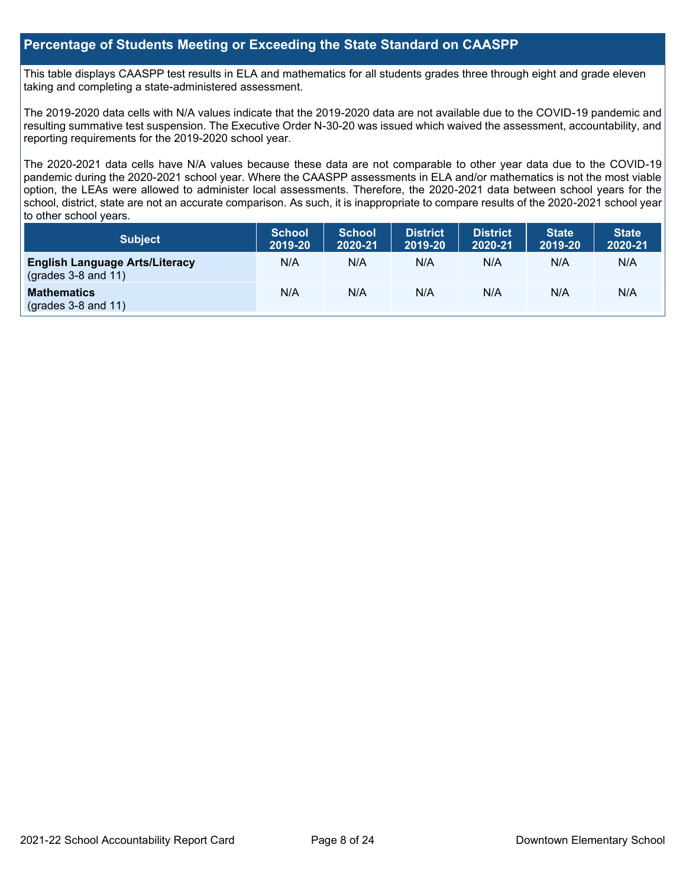### **Percentage of Students Meeting or Exceeding the State Standard on CAASPP**

This table displays CAASPP test results in ELA and mathematics for all students grades three through eight and grade eleven taking and completing a state-administered assessment.

The 2019-2020 data cells with N/A values indicate that the 2019-2020 data are not available due to the COVID-19 pandemic and resulting summative test suspension. The Executive Order N-30-20 was issued which waived the assessment, accountability, and reporting requirements for the 2019-2020 school year.

The 2020-2021 data cells have N/A values because these data are not comparable to other year data due to the COVID-19 pandemic during the 2020-2021 school year. Where the CAASPP assessments in ELA and/or mathematics is not the most viable option, the LEAs were allowed to administer local assessments. Therefore, the 2020-2021 data between school years for the school, district, state are not an accurate comparison. As such, it is inappropriate to compare results of the 2020-2021 school year to other school years.

| Subject                                                              | <b>School</b><br>2019-20 | <b>School</b><br>2020-21 | <b>District</b><br>2019-20 | <b>District</b><br>2020-21 | <b>State</b><br>2019-20 | <b>State</b><br>2020-21 |
|----------------------------------------------------------------------|--------------------------|--------------------------|----------------------------|----------------------------|-------------------------|-------------------------|
| <b>English Language Arts/Literacy</b><br>$\left($ grades 3-8 and 11) | N/A                      | N/A                      | N/A                        | N/A                        | N/A                     | N/A                     |
| <b>Mathematics</b><br>$(grades 3-8 and 11)$                          | N/A                      | N/A                      | N/A                        | N/A                        | N/A                     | N/A                     |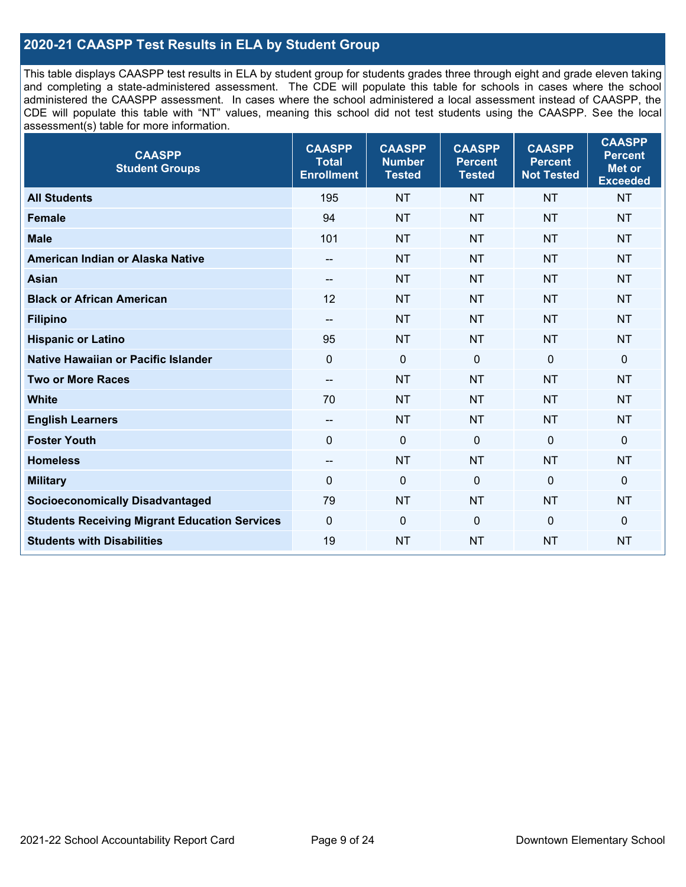## **2020-21 CAASPP Test Results in ELA by Student Group**

This table displays CAASPP test results in ELA by student group for students grades three through eight and grade eleven taking and completing a state-administered assessment. The CDE will populate this table for schools in cases where the school administered the CAASPP assessment. In cases where the school administered a local assessment instead of CAASPP, the CDE will populate this table with "NT" values, meaning this school did not test students using the CAASPP. See the local assessment(s) table for more information.

| <b>CAASPP</b><br><b>Student Groups</b>               | <b>CAASPP</b><br><b>Total</b><br><b>Enrollment</b> | <b>CAASPP</b><br><b>Number</b><br><b>Tested</b> | <b>CAASPP</b><br><b>Percent</b><br><b>Tested</b> | <b>CAASPP</b><br><b>Percent</b><br><b>Not Tested</b> | <b>CAASPP</b><br><b>Percent</b><br>Met or<br><b>Exceeded</b> |
|------------------------------------------------------|----------------------------------------------------|-------------------------------------------------|--------------------------------------------------|------------------------------------------------------|--------------------------------------------------------------|
| <b>All Students</b>                                  | 195                                                | <b>NT</b>                                       | <b>NT</b>                                        | <b>NT</b>                                            | <b>NT</b>                                                    |
| <b>Female</b>                                        | 94                                                 | <b>NT</b>                                       | <b>NT</b>                                        | <b>NT</b>                                            | <b>NT</b>                                                    |
| <b>Male</b>                                          | 101                                                | <b>NT</b>                                       | <b>NT</b>                                        | <b>NT</b>                                            | <b>NT</b>                                                    |
| American Indian or Alaska Native                     | $\overline{\phantom{a}}$                           | <b>NT</b>                                       | <b>NT</b>                                        | <b>NT</b>                                            | <b>NT</b>                                                    |
| <b>Asian</b>                                         | --                                                 | <b>NT</b>                                       | <b>NT</b>                                        | <b>NT</b>                                            | <b>NT</b>                                                    |
| <b>Black or African American</b>                     | 12                                                 | <b>NT</b>                                       | <b>NT</b>                                        | <b>NT</b>                                            | <b>NT</b>                                                    |
| <b>Filipino</b>                                      | $-$                                                | <b>NT</b>                                       | <b>NT</b>                                        | <b>NT</b>                                            | <b>NT</b>                                                    |
| <b>Hispanic or Latino</b>                            | 95                                                 | <b>NT</b>                                       | <b>NT</b>                                        | <b>NT</b>                                            | <b>NT</b>                                                    |
| Native Hawaiian or Pacific Islander                  | $\mathbf 0$                                        | $\mathbf 0$                                     | $\mathbf 0$                                      | $\overline{0}$                                       | $\mathbf 0$                                                  |
| <b>Two or More Races</b>                             | $\overline{a}$                                     | <b>NT</b>                                       | <b>NT</b>                                        | <b>NT</b>                                            | <b>NT</b>                                                    |
| <b>White</b>                                         | 70                                                 | <b>NT</b>                                       | <b>NT</b>                                        | <b>NT</b>                                            | <b>NT</b>                                                    |
| <b>English Learners</b>                              | $\overline{\phantom{a}}$                           | <b>NT</b>                                       | <b>NT</b>                                        | <b>NT</b>                                            | <b>NT</b>                                                    |
| <b>Foster Youth</b>                                  | $\Omega$                                           | $\mathbf 0$                                     | $\mathbf 0$                                      | $\mathbf 0$                                          | $\mathbf 0$                                                  |
| <b>Homeless</b>                                      | --                                                 | <b>NT</b>                                       | <b>NT</b>                                        | <b>NT</b>                                            | <b>NT</b>                                                    |
| <b>Military</b>                                      | 0                                                  | $\pmb{0}$                                       | 0                                                | $\mathbf 0$                                          | 0                                                            |
| <b>Socioeconomically Disadvantaged</b>               | 79                                                 | <b>NT</b>                                       | <b>NT</b>                                        | <b>NT</b>                                            | <b>NT</b>                                                    |
| <b>Students Receiving Migrant Education Services</b> | $\mathbf 0$                                        | $\mathbf 0$                                     | $\Omega$                                         | $\mathbf 0$                                          | 0                                                            |
| <b>Students with Disabilities</b>                    | 19                                                 | <b>NT</b>                                       | <b>NT</b>                                        | <b>NT</b>                                            | <b>NT</b>                                                    |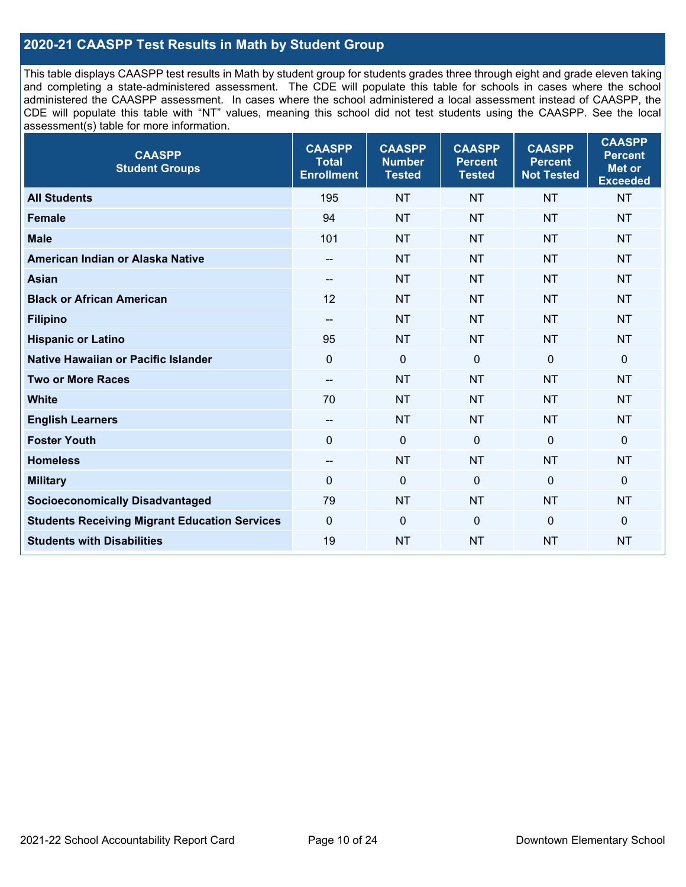## **2020-21 CAASPP Test Results in Math by Student Group**

This table displays CAASPP test results in Math by student group for students grades three through eight and grade eleven taking and completing a state-administered assessment. The CDE will populate this table for schools in cases where the school administered the CAASPP assessment. In cases where the school administered a local assessment instead of CAASPP, the CDE will populate this table with "NT" values, meaning this school did not test students using the CAASPP. See the local assessment(s) table for more information.

| <b>CAASPP</b><br><b>Student Groups</b>               | <b>CAASPP</b><br><b>Total</b><br><b>Enrollment</b> | <b>CAASPP</b><br><b>Number</b><br><b>Tested</b> | <b>CAASPP</b><br><b>Percent</b><br><b>Tested</b> | <b>CAASPP</b><br><b>Percent</b><br><b>Not Tested</b> | <b>CAASPP</b><br><b>Percent</b><br>Met or<br><b>Exceeded</b> |
|------------------------------------------------------|----------------------------------------------------|-------------------------------------------------|--------------------------------------------------|------------------------------------------------------|--------------------------------------------------------------|
| <b>All Students</b>                                  | 195                                                | <b>NT</b>                                       | <b>NT</b>                                        | <b>NT</b>                                            | <b>NT</b>                                                    |
| <b>Female</b>                                        | 94                                                 | <b>NT</b>                                       | <b>NT</b>                                        | <b>NT</b>                                            | <b>NT</b>                                                    |
| <b>Male</b>                                          | 101                                                | <b>NT</b>                                       | <b>NT</b>                                        | <b>NT</b>                                            | <b>NT</b>                                                    |
| American Indian or Alaska Native                     | $\overline{\phantom{a}}$                           | <b>NT</b>                                       | <b>NT</b>                                        | <b>NT</b>                                            | <b>NT</b>                                                    |
| <b>Asian</b>                                         | --                                                 | <b>NT</b>                                       | <b>NT</b>                                        | <b>NT</b>                                            | <b>NT</b>                                                    |
| <b>Black or African American</b>                     | 12                                                 | <b>NT</b>                                       | <b>NT</b>                                        | <b>NT</b>                                            | <b>NT</b>                                                    |
| <b>Filipino</b>                                      | $-$                                                | <b>NT</b>                                       | <b>NT</b>                                        | <b>NT</b>                                            | <b>NT</b>                                                    |
| <b>Hispanic or Latino</b>                            | 95                                                 | <b>NT</b>                                       | <b>NT</b>                                        | <b>NT</b>                                            | <b>NT</b>                                                    |
| Native Hawaiian or Pacific Islander                  | $\mathbf 0$                                        | $\mathbf 0$                                     | $\mathbf 0$                                      | $\overline{0}$                                       | $\mathbf 0$                                                  |
| <b>Two or More Races</b>                             | $\overline{a}$                                     | <b>NT</b>                                       | <b>NT</b>                                        | <b>NT</b>                                            | <b>NT</b>                                                    |
| <b>White</b>                                         | 70                                                 | <b>NT</b>                                       | <b>NT</b>                                        | <b>NT</b>                                            | <b>NT</b>                                                    |
| <b>English Learners</b>                              | $\overline{\phantom{a}}$                           | <b>NT</b>                                       | <b>NT</b>                                        | <b>NT</b>                                            | <b>NT</b>                                                    |
| <b>Foster Youth</b>                                  | $\Omega$                                           | $\mathbf 0$                                     | $\mathbf 0$                                      | $\mathbf 0$                                          | $\mathbf 0$                                                  |
| <b>Homeless</b>                                      | --                                                 | <b>NT</b>                                       | <b>NT</b>                                        | <b>NT</b>                                            | <b>NT</b>                                                    |
| <b>Military</b>                                      | 0                                                  | $\pmb{0}$                                       | 0                                                | $\mathbf 0$                                          | 0                                                            |
| <b>Socioeconomically Disadvantaged</b>               | 79                                                 | <b>NT</b>                                       | <b>NT</b>                                        | <b>NT</b>                                            | <b>NT</b>                                                    |
| <b>Students Receiving Migrant Education Services</b> | $\mathbf 0$                                        | $\mathbf 0$                                     | $\Omega$                                         | $\mathbf 0$                                          | 0                                                            |
| <b>Students with Disabilities</b>                    | 19                                                 | <b>NT</b>                                       | <b>NT</b>                                        | <b>NT</b>                                            | <b>NT</b>                                                    |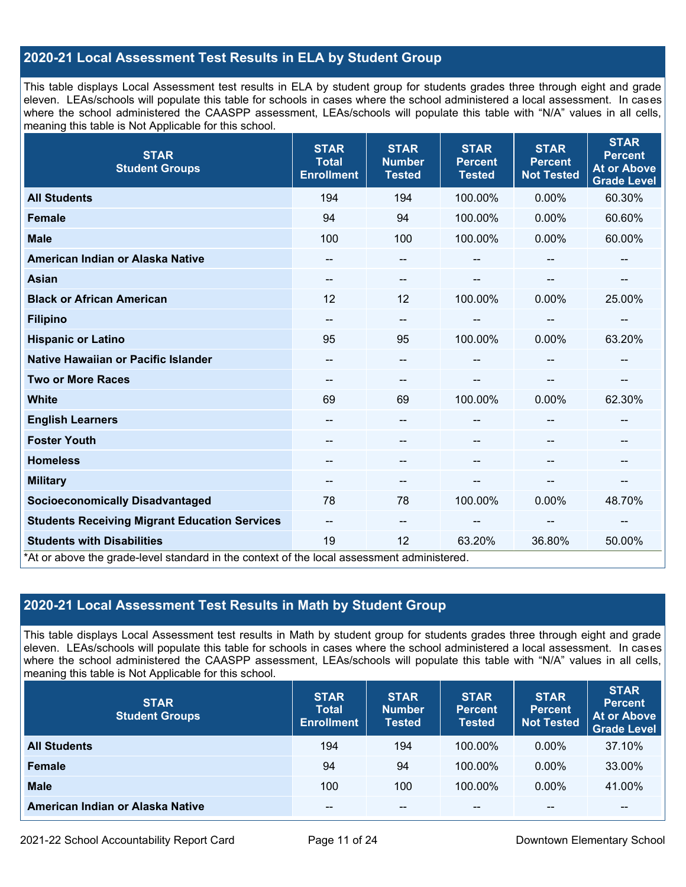## **2020-21 Local Assessment Test Results in ELA by Student Group**

This table displays Local Assessment test results in ELA by student group for students grades three through eight and grade eleven. LEAs/schools will populate this table for schools in cases where the school administered a local assessment. In cases where the school administered the CAASPP assessment, LEAs/schools will populate this table with "N/A" values in all cells, meaning this table is Not Applicable for this school.

| <b>STAR</b><br><b>Student Groups</b>                                                                                            | <b>STAR</b><br><b>Total</b><br><b>Enrollment</b> | <b>STAR</b><br><b>Number</b><br><b>Tested</b> | <b>STAR</b><br><b>Percent</b><br><b>Tested</b> | <b>STAR</b><br><b>Percent</b><br><b>Not Tested</b> | <b>STAR</b><br><b>Percent</b><br><b>At or Above</b><br><b>Grade Level</b> |
|---------------------------------------------------------------------------------------------------------------------------------|--------------------------------------------------|-----------------------------------------------|------------------------------------------------|----------------------------------------------------|---------------------------------------------------------------------------|
| <b>All Students</b>                                                                                                             | 194                                              | 194                                           | 100.00%                                        | 0.00%                                              | 60.30%                                                                    |
| <b>Female</b>                                                                                                                   | 94                                               | 94                                            | 100.00%                                        | 0.00%                                              | 60.60%                                                                    |
| <b>Male</b>                                                                                                                     | 100                                              | 100                                           | 100.00%                                        | 0.00%                                              | 60.00%                                                                    |
| American Indian or Alaska Native                                                                                                | --                                               | $\overline{\phantom{m}}$                      | --                                             | --                                                 | $\overline{\phantom{a}}$                                                  |
| <b>Asian</b>                                                                                                                    | --                                               | --                                            |                                                |                                                    |                                                                           |
| <b>Black or African American</b>                                                                                                | 12                                               | 12                                            | 100.00%                                        | 0.00%                                              | 25.00%                                                                    |
| <b>Filipino</b>                                                                                                                 | --                                               | --                                            | --                                             | --                                                 | --                                                                        |
| <b>Hispanic or Latino</b>                                                                                                       | 95                                               | 95                                            | 100.00%                                        | $0.00\%$                                           | 63.20%                                                                    |
| <b>Native Hawaiian or Pacific Islander</b>                                                                                      |                                                  | --                                            |                                                |                                                    |                                                                           |
| <b>Two or More Races</b>                                                                                                        | --                                               | $-$                                           | --                                             |                                                    | --                                                                        |
| <b>White</b>                                                                                                                    | 69                                               | 69                                            | 100.00%                                        | 0.00%                                              | 62.30%                                                                    |
| <b>English Learners</b>                                                                                                         |                                                  | --                                            |                                                |                                                    |                                                                           |
| <b>Foster Youth</b>                                                                                                             |                                                  | --                                            |                                                | --                                                 | --                                                                        |
| <b>Homeless</b>                                                                                                                 |                                                  | --                                            |                                                |                                                    |                                                                           |
| <b>Military</b>                                                                                                                 | --                                               | --                                            | --                                             | --                                                 | $\overline{\phantom{a}}$                                                  |
| <b>Socioeconomically Disadvantaged</b>                                                                                          | 78                                               | 78                                            | 100.00%                                        | 0.00%                                              | 48.70%                                                                    |
| <b>Students Receiving Migrant Education Services</b>                                                                            | $- -$                                            | $-$                                           | --                                             | --                                                 |                                                                           |
| <b>Students with Disabilities</b><br>*At or above the grade-level standard in the context of the local assessment administered. | 19                                               | 12                                            | 63.20%                                         | 36.80%                                             | 50.00%                                                                    |

## **2020-21 Local Assessment Test Results in Math by Student Group**

This table displays Local Assessment test results in Math by student group for students grades three through eight and grade eleven. LEAs/schools will populate this table for schools in cases where the school administered a local assessment. In cases where the school administered the CAASPP assessment, LEAs/schools will populate this table with "N/A" values in all cells, meaning this table is Not Applicable for this school.

| <b>STAR</b><br><b>Student Groups</b> | <b>STAR</b><br><b>Total</b><br><b>Enrollment</b> | <b>STAR</b><br><b>Number</b><br><b>Tested</b> | <b>STAR</b><br><b>Percent</b><br><b>Tested</b> | <b>STAR</b><br><b>Percent</b><br><b>Not Tested</b> | <b>STAR</b><br><b>Percent</b><br><b>At or Above</b><br><b>Grade Level</b> |
|--------------------------------------|--------------------------------------------------|-----------------------------------------------|------------------------------------------------|----------------------------------------------------|---------------------------------------------------------------------------|
| <b>All Students</b>                  | 194                                              | 194                                           | 100.00%                                        | $0.00\%$                                           | 37.10%                                                                    |
| <b>Female</b>                        | 94                                               | 94                                            | 100.00%                                        | $0.00\%$                                           | 33.00%                                                                    |
| <b>Male</b>                          | 100                                              | 100                                           | 100.00%                                        | $0.00\%$                                           | 41.00%                                                                    |
| American Indian or Alaska Native     | --                                               | $- -$                                         | $- -$                                          | $\sim$ $\sim$                                      | $\overline{\phantom{m}}$                                                  |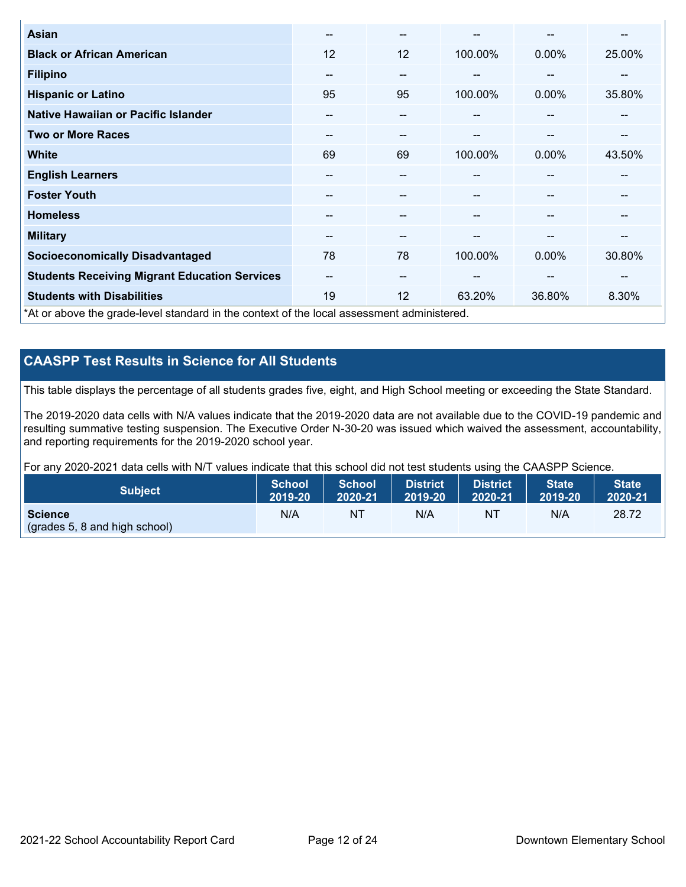| <b>Asian</b>                                                                               | $\sim$ | $- -$ |         | --       | --     |
|--------------------------------------------------------------------------------------------|--------|-------|---------|----------|--------|
| <b>Black or African American</b>                                                           | 12     | 12    | 100.00% | 0.00%    | 25.00% |
| <b>Filipino</b>                                                                            | --     | $- -$ |         | --       | --     |
| <b>Hispanic or Latino</b>                                                                  | 95     | 95    | 100.00% | 0.00%    | 35.80% |
| Native Hawaiian or Pacific Islander                                                        | --     | $- -$ | $\sim$  | --       | --     |
| <b>Two or More Races</b>                                                                   | --     | --    | --      | --       | --     |
| <b>White</b>                                                                               | 69     | 69    | 100.00% | $0.00\%$ | 43.50% |
| <b>English Learners</b>                                                                    | --     | --    | --      | --       | --     |
| <b>Foster Youth</b>                                                                        | --     | --    |         | --       |        |
| <b>Homeless</b>                                                                            | --     | --    |         | --       | --     |
| <b>Military</b>                                                                            | --     | $- -$ | --      | --       | --     |
| <b>Socioeconomically Disadvantaged</b>                                                     | 78     | 78    | 100.00% | 0.00%    | 30.80% |
| <b>Students Receiving Migrant Education Services</b>                                       | --     | $- -$ | --      | --       | --     |
| <b>Students with Disabilities</b>                                                          | 19     | 12    | 63.20%  | 36.80%   | 8.30%  |
| *At or above the grade-level standard in the context of the local assessment administered. |        |       |         |          |        |

## **CAASPP Test Results in Science for All Students**

This table displays the percentage of all students grades five, eight, and High School meeting or exceeding the State Standard.

The 2019-2020 data cells with N/A values indicate that the 2019-2020 data are not available due to the COVID-19 pandemic and resulting summative testing suspension. The Executive Order N-30-20 was issued which waived the assessment, accountability, and reporting requirements for the 2019-2020 school year.

For any 2020-2021 data cells with N/T values indicate that this school did not test students using the CAASPP Science.

| <b>Subject</b>                                           | <b>School</b> | <b>School</b> | <b>District</b> | District | <b>State</b> | <b>State</b> |
|----------------------------------------------------------|---------------|---------------|-----------------|----------|--------------|--------------|
|                                                          | 2019-20       | 2020-21       | 2019-20         | 2020-21  | 2019-20      | 2020-21      |
| <b>Science</b><br>$\left($ (grades 5, 8 and high school) | N/A           | NT            | N/A             | NT       | N/A          | 28.72        |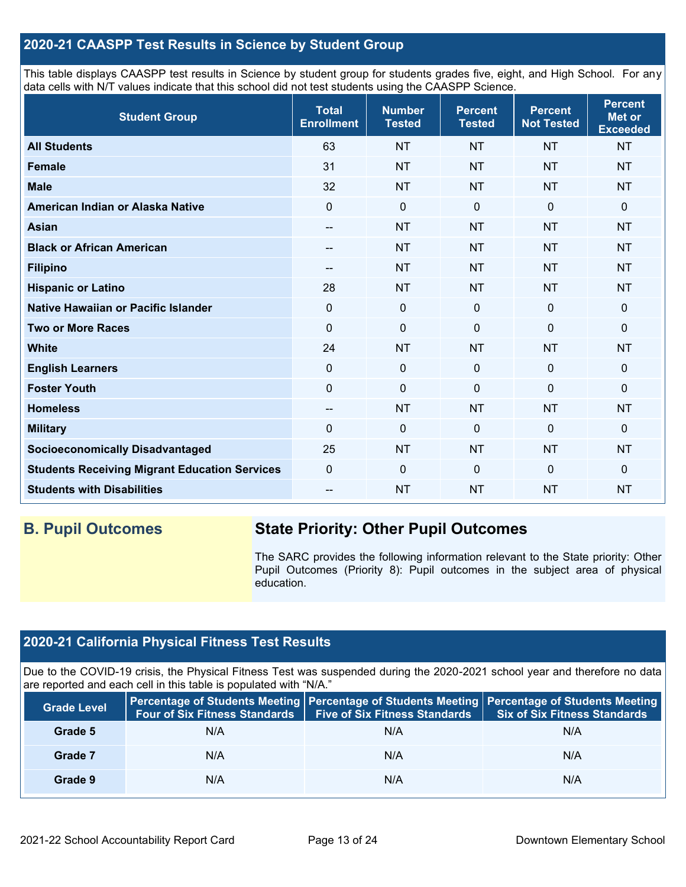## **2020-21 CAASPP Test Results in Science by Student Group**

This table displays CAASPP test results in Science by student group for students grades five, eight, and High School. For any data cells with N/T values indicate that this school did not test students using the CAASPP Science.

| <b>Student Group</b>                                 | <b>Total</b><br><b>Enrollment</b> | <b>Number</b><br><b>Tested</b> | <b>Percent</b><br><b>Tested</b> | <b>Percent</b><br><b>Not Tested</b> | <b>Percent</b><br><b>Met or</b><br><b>Exceeded</b> |
|------------------------------------------------------|-----------------------------------|--------------------------------|---------------------------------|-------------------------------------|----------------------------------------------------|
| <b>All Students</b>                                  | 63                                | <b>NT</b>                      | <b>NT</b>                       | <b>NT</b>                           | <b>NT</b>                                          |
| <b>Female</b>                                        | 31                                | <b>NT</b>                      | <b>NT</b>                       | <b>NT</b>                           | <b>NT</b>                                          |
| <b>Male</b>                                          | 32                                | <b>NT</b>                      | <b>NT</b>                       | <b>NT</b>                           | <b>NT</b>                                          |
| American Indian or Alaska Native                     | $\Omega$                          | $\mathbf 0$                    | $\mathbf 0$                     | $\Omega$                            | 0                                                  |
| <b>Asian</b>                                         | --                                | <b>NT</b>                      | <b>NT</b>                       | <b>NT</b>                           | <b>NT</b>                                          |
| <b>Black or African American</b>                     | --                                | <b>NT</b>                      | <b>NT</b>                       | <b>NT</b>                           | <b>NT</b>                                          |
| <b>Filipino</b>                                      | --                                | <b>NT</b>                      | <b>NT</b>                       | <b>NT</b>                           | <b>NT</b>                                          |
| <b>Hispanic or Latino</b>                            | 28                                | <b>NT</b>                      | <b>NT</b>                       | <b>NT</b>                           | <b>NT</b>                                          |
| Native Hawaiian or Pacific Islander                  | $\mathbf 0$                       | $\pmb{0}$                      | $\mathbf 0$                     | $\overline{0}$                      | 0                                                  |
| <b>Two or More Races</b>                             | $\mathbf 0$                       | $\mathbf 0$                    | $\mathbf 0$                     | $\mathbf 0$                         | 0                                                  |
| <b>White</b>                                         | 24                                | <b>NT</b>                      | <b>NT</b>                       | <b>NT</b>                           | <b>NT</b>                                          |
| <b>English Learners</b>                              | 0                                 | $\mathbf 0$                    | $\mathbf 0$                     | $\mathbf 0$                         | 0                                                  |
| <b>Foster Youth</b>                                  | $\mathbf 0$                       | $\pmb{0}$                      | $\mathbf 0$                     | $\mathbf 0$                         | 0                                                  |
| <b>Homeless</b>                                      | $\overline{\phantom{a}}$          | <b>NT</b>                      | <b>NT</b>                       | <b>NT</b>                           | <b>NT</b>                                          |
| <b>Military</b>                                      | $\Omega$                          | $\pmb{0}$                      | $\mathbf{0}$                    | $\mathbf 0$                         | 0                                                  |
| <b>Socioeconomically Disadvantaged</b>               | 25                                | <b>NT</b>                      | <b>NT</b>                       | <b>NT</b>                           | <b>NT</b>                                          |
| <b>Students Receiving Migrant Education Services</b> | $\mathbf 0$                       | $\mathbf 0$                    | $\mathbf 0$                     | $\overline{0}$                      | 0                                                  |
| <b>Students with Disabilities</b>                    | --                                | <b>NT</b>                      | <b>NT</b>                       | <b>NT</b>                           | <b>NT</b>                                          |

## **B. Pupil Outcomes State Priority: Other Pupil Outcomes**

The SARC provides the following information relevant to the State priority: Other Pupil Outcomes (Priority 8): Pupil outcomes in the subject area of physical education.

## **2020-21 California Physical Fitness Test Results**

Due to the COVID-19 crisis, the Physical Fitness Test was suspended during the 2020-2021 school year and therefore no data are reported and each cell in this table is populated with "N/A."

| <b>Grade Level</b> | <b>Four of Six Fitness Standards</b> | <b>Five of Six Fitness Standards</b> | Percentage of Students Meeting   Percentage of Students Meeting   Percentage of Students Meeting<br><b>Six of Six Fitness Standards</b> |
|--------------------|--------------------------------------|--------------------------------------|-----------------------------------------------------------------------------------------------------------------------------------------|
| Grade 5            | N/A                                  | N/A                                  | N/A                                                                                                                                     |
| Grade 7            | N/A                                  | N/A                                  | N/A                                                                                                                                     |
| Grade 9            | N/A                                  | N/A                                  | N/A                                                                                                                                     |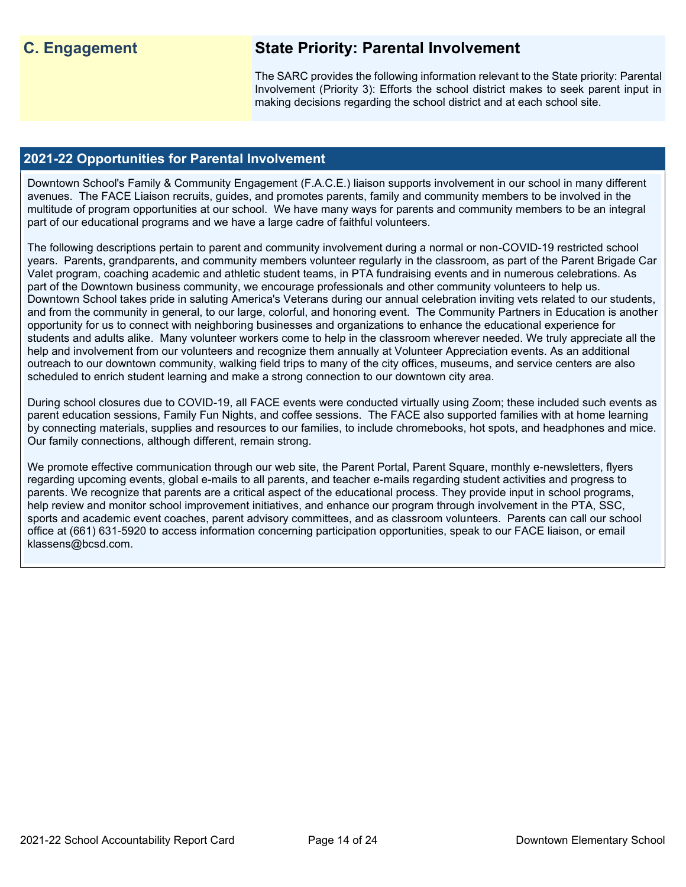## **C. Engagement State Priority: Parental Involvement**

The SARC provides the following information relevant to the State priority: Parental Involvement (Priority 3): Efforts the school district makes to seek parent input in making decisions regarding the school district and at each school site.

### **2021-22 Opportunities for Parental Involvement**

Downtown School's Family & Community Engagement (F.A.C.E.) liaison supports involvement in our school in many different avenues. The FACE Liaison recruits, guides, and promotes parents, family and community members to be involved in the multitude of program opportunities at our school. We have many ways for parents and community members to be an integral part of our educational programs and we have a large cadre of faithful volunteers.

The following descriptions pertain to parent and community involvement during a normal or non-COVID-19 restricted school years. Parents, grandparents, and community members volunteer regularly in the classroom, as part of the Parent Brigade Car Valet program, coaching academic and athletic student teams, in PTA fundraising events and in numerous celebrations. As part of the Downtown business community, we encourage professionals and other community volunteers to help us. Downtown School takes pride in saluting America's Veterans during our annual celebration inviting vets related to our students, and from the community in general, to our large, colorful, and honoring event. The Community Partners in Education is another opportunity for us to connect with neighboring businesses and organizations to enhance the educational experience for students and adults alike. Many volunteer workers come to help in the classroom wherever needed. We truly appreciate all the help and involvement from our volunteers and recognize them annually at Volunteer Appreciation events. As an additional outreach to our downtown community, walking field trips to many of the city offices, museums, and service centers are also scheduled to enrich student learning and make a strong connection to our downtown city area.

During school closures due to COVID-19, all FACE events were conducted virtually using Zoom; these included such events as parent education sessions, Family Fun Nights, and coffee sessions. The FACE also supported families with at home learning by connecting materials, supplies and resources to our families, to include chromebooks, hot spots, and headphones and mice. Our family connections, although different, remain strong.

We promote effective communication through our web site, the Parent Portal, Parent Square, monthly e-newsletters, flyers regarding upcoming events, global e-mails to all parents, and teacher e-mails regarding student activities and progress to parents. We recognize that parents are a critical aspect of the educational process. They provide input in school programs, help review and monitor school improvement initiatives, and enhance our program through involvement in the PTA, SSC, sports and academic event coaches, parent advisory committees, and as classroom volunteers. Parents can call our school office at (661) 631-5920 to access information concerning participation opportunities, speak to our FACE liaison, or email klassens@bcsd.com.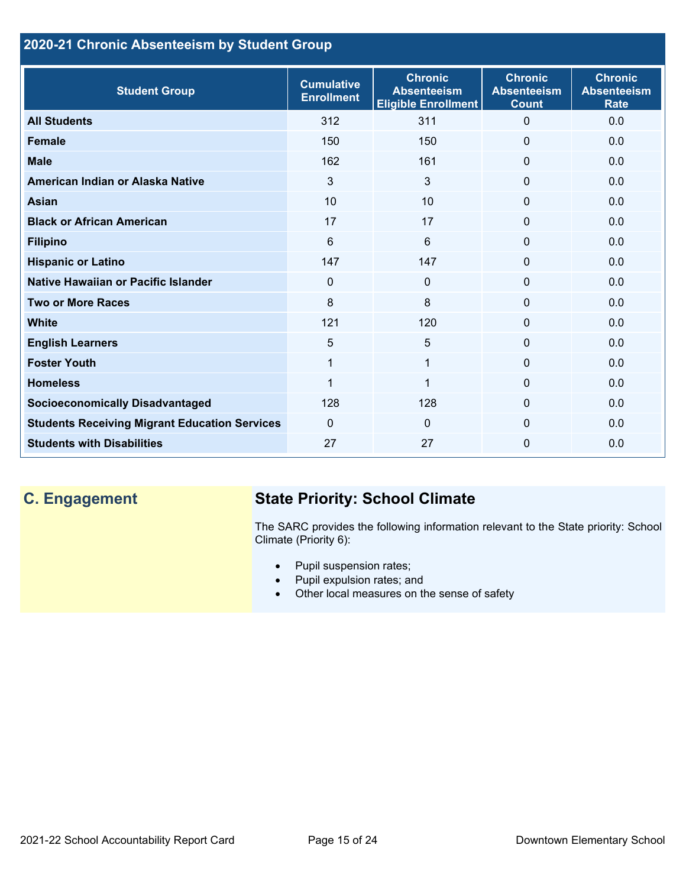## **2020-21 Chronic Absenteeism by Student Group**

| <b>Student Group</b>                                 | <b>Cumulative</b><br><b>Enrollment</b> | <b>Chronic</b><br><b>Absenteeism</b><br><b>Eligible Enrollment</b> | <b>Chronic</b><br><b>Absenteeism</b><br><b>Count</b> | <b>Chronic</b><br><b>Absenteeism</b><br><b>Rate</b> |
|------------------------------------------------------|----------------------------------------|--------------------------------------------------------------------|------------------------------------------------------|-----------------------------------------------------|
| <b>All Students</b>                                  | 312                                    | 311                                                                | $\Omega$                                             | 0.0                                                 |
| <b>Female</b>                                        | 150                                    | 150                                                                | $\Omega$                                             | 0.0                                                 |
| <b>Male</b>                                          | 162                                    | 161                                                                | $\Omega$                                             | 0.0                                                 |
| American Indian or Alaska Native                     | 3                                      | 3                                                                  | $\Omega$                                             | 0.0                                                 |
| <b>Asian</b>                                         | 10                                     | 10                                                                 | $\mathbf{0}$                                         | 0.0                                                 |
| <b>Black or African American</b>                     | 17                                     | 17                                                                 | $\mathbf{0}$                                         | 0.0                                                 |
| <b>Filipino</b>                                      | 6                                      | $6\phantom{1}$                                                     | $\mathbf 0$                                          | 0.0                                                 |
| <b>Hispanic or Latino</b>                            | 147                                    | 147                                                                | $\mathbf{0}$                                         | 0.0                                                 |
| Native Hawaiian or Pacific Islander                  | $\Omega$                               | $\mathbf{0}$                                                       | $\mathbf 0$                                          | 0.0                                                 |
| <b>Two or More Races</b>                             | 8                                      | 8                                                                  | $\mathbf 0$                                          | 0.0                                                 |
| <b>White</b>                                         | 121                                    | 120                                                                | $\mathbf{0}$                                         | 0.0                                                 |
| <b>English Learners</b>                              | 5                                      | $5\phantom{.0}$                                                    | $\Omega$                                             | 0.0                                                 |
| <b>Foster Youth</b>                                  | $\mathbf{1}$                           | $\mathbf 1$                                                        | $\Omega$                                             | 0.0                                                 |
| <b>Homeless</b>                                      | 1                                      | 1                                                                  | $\Omega$                                             | 0.0                                                 |
| <b>Socioeconomically Disadvantaged</b>               | 128                                    | 128                                                                | $\Omega$                                             | 0.0                                                 |
| <b>Students Receiving Migrant Education Services</b> | $\mathbf{0}$                           | $\Omega$                                                           | $\Omega$                                             | 0.0                                                 |
| <b>Students with Disabilities</b>                    | 27                                     | 27                                                                 | $\Omega$                                             | 0.0                                                 |

# **C. Engagement State Priority: School Climate**

The SARC provides the following information relevant to the State priority: School Climate (Priority 6):

- Pupil suspension rates;
- Pupil expulsion rates; and
- Other local measures on the sense of safety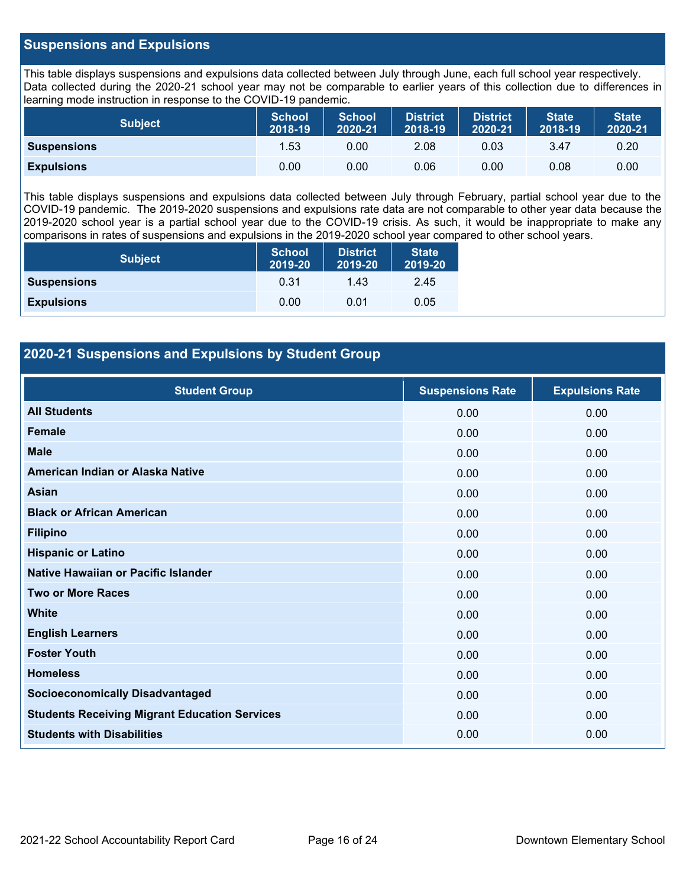### **Suspensions and Expulsions**

This table displays suspensions and expulsions data collected between July through June, each full school year respectively. Data collected during the 2020-21 school year may not be comparable to earlier years of this collection due to differences in learning mode instruction in response to the COVID-19 pandemic.

| <b>Subject</b>     | <b>School</b><br>2018-19 | <b>School</b><br>2020-21 | <b>District</b><br>2018-19 | <b>District</b><br>2020-21 | <b>State</b><br>2018-19 | <b>State</b><br>2020-21 |
|--------------------|--------------------------|--------------------------|----------------------------|----------------------------|-------------------------|-------------------------|
| <b>Suspensions</b> | 1.53                     | 0.00                     | 2.08                       | 0.03                       | 3.47                    | 0.20                    |
| <b>Expulsions</b>  | 0.00                     | 0.00                     | 0.06                       | 0.00                       | 0.08                    | 0.00                    |

This table displays suspensions and expulsions data collected between July through February, partial school year due to the COVID-19 pandemic. The 2019-2020 suspensions and expulsions rate data are not comparable to other year data because the 2019-2020 school year is a partial school year due to the COVID-19 crisis. As such, it would be inappropriate to make any comparisons in rates of suspensions and expulsions in the 2019-2020 school year compared to other school years.

| <b>Subject</b>     | <b>School</b><br>2019-20 | <b>District</b><br>2019-20 | <b>State</b><br>2019-20 |
|--------------------|--------------------------|----------------------------|-------------------------|
| <b>Suspensions</b> | 0.31                     | 1.43                       | 2.45                    |
| <b>Expulsions</b>  | 0.00                     | 0.01                       | 0.05                    |

## **2020-21 Suspensions and Expulsions by Student Group**

| <b>Student Group</b>                                 | <b>Suspensions Rate</b> | <b>Expulsions Rate</b> |
|------------------------------------------------------|-------------------------|------------------------|
| <b>All Students</b>                                  | 0.00                    | 0.00                   |
| <b>Female</b>                                        | 0.00                    | 0.00                   |
| <b>Male</b>                                          | 0.00                    | 0.00                   |
| American Indian or Alaska Native                     | 0.00                    | 0.00                   |
| <b>Asian</b>                                         | 0.00                    | 0.00                   |
| <b>Black or African American</b>                     | 0.00                    | 0.00                   |
| <b>Filipino</b>                                      | 0.00                    | 0.00                   |
| <b>Hispanic or Latino</b>                            | 0.00                    | 0.00                   |
| Native Hawaiian or Pacific Islander                  | 0.00                    | 0.00                   |
| <b>Two or More Races</b>                             | 0.00                    | 0.00                   |
| <b>White</b>                                         | 0.00                    | 0.00                   |
| <b>English Learners</b>                              | 0.00                    | 0.00                   |
| <b>Foster Youth</b>                                  | 0.00                    | 0.00                   |
| <b>Homeless</b>                                      | 0.00                    | 0.00                   |
| <b>Socioeconomically Disadvantaged</b>               | 0.00                    | 0.00                   |
| <b>Students Receiving Migrant Education Services</b> | 0.00                    | 0.00                   |
| <b>Students with Disabilities</b>                    | 0.00                    | 0.00                   |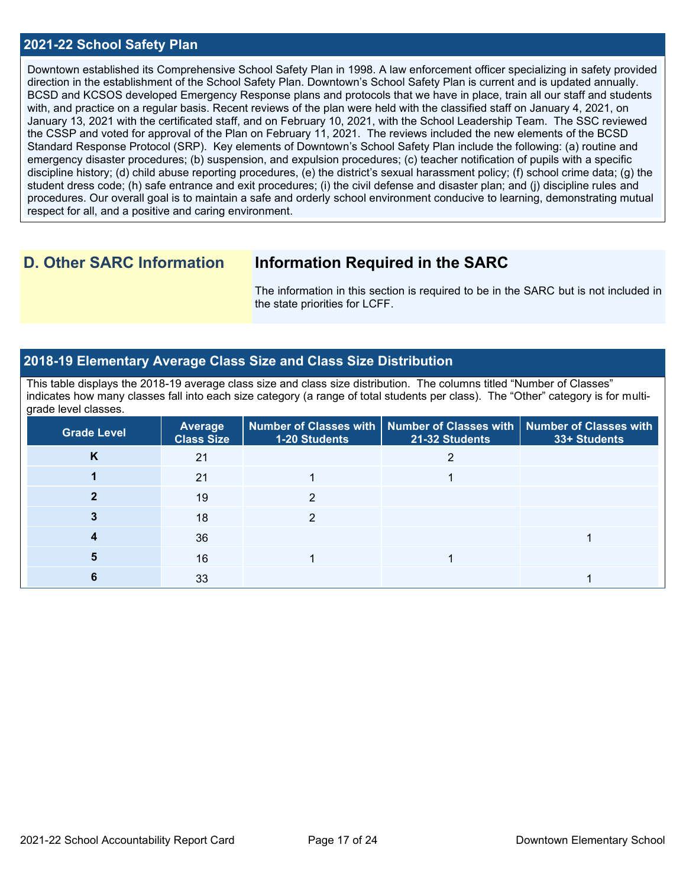#### **2021-22 School Safety Plan**

Downtown established its Comprehensive School Safety Plan in 1998. A law enforcement officer specializing in safety provided direction in the establishment of the School Safety Plan. Downtown's School Safety Plan is current and is updated annually. BCSD and KCSOS developed Emergency Response plans and protocols that we have in place, train all our staff and students with, and practice on a regular basis. Recent reviews of the plan were held with the classified staff on January 4, 2021, on January 13, 2021 with the certificated staff, and on February 10, 2021, with the School Leadership Team. The SSC reviewed the CSSP and voted for approval of the Plan on February 11, 2021. The reviews included the new elements of the BCSD Standard Response Protocol (SRP). Key elements of Downtown's School Safety Plan include the following: (a) routine and emergency disaster procedures; (b) suspension, and expulsion procedures; (c) teacher notification of pupils with a specific discipline history; (d) child abuse reporting procedures, (e) the district's sexual harassment policy; (f) school crime data; (g) the student dress code; (h) safe entrance and exit procedures; (i) the civil defense and disaster plan; and (j) discipline rules and procedures. Our overall goal is to maintain a safe and orderly school environment conducive to learning, demonstrating mutual respect for all, and a positive and caring environment.

## **D. Other SARC Information Information Required in the SARC**

The information in this section is required to be in the SARC but is not included in the state priorities for LCFF.

## **2018-19 Elementary Average Class Size and Class Size Distribution**

This table displays the 2018-19 average class size and class size distribution. The columns titled "Number of Classes" indicates how many classes fall into each size category (a range of total students per class). The "Other" category is for multigrade level classes.

| <b>Grade Level</b> | <b>Average</b><br><b>Class Size</b> | 1-20 Students | Number of Classes with   Number of Classes with   Number of Classes with<br>21-32 Students | 33+ Students |
|--------------------|-------------------------------------|---------------|--------------------------------------------------------------------------------------------|--------------|
| n.                 | 21                                  |               |                                                                                            |              |
|                    | 21                                  |               |                                                                                            |              |
|                    | 19                                  | っ             |                                                                                            |              |
|                    | 18                                  |               |                                                                                            |              |
|                    | 36                                  |               |                                                                                            |              |
|                    | 16                                  |               |                                                                                            |              |
|                    | 33                                  |               |                                                                                            |              |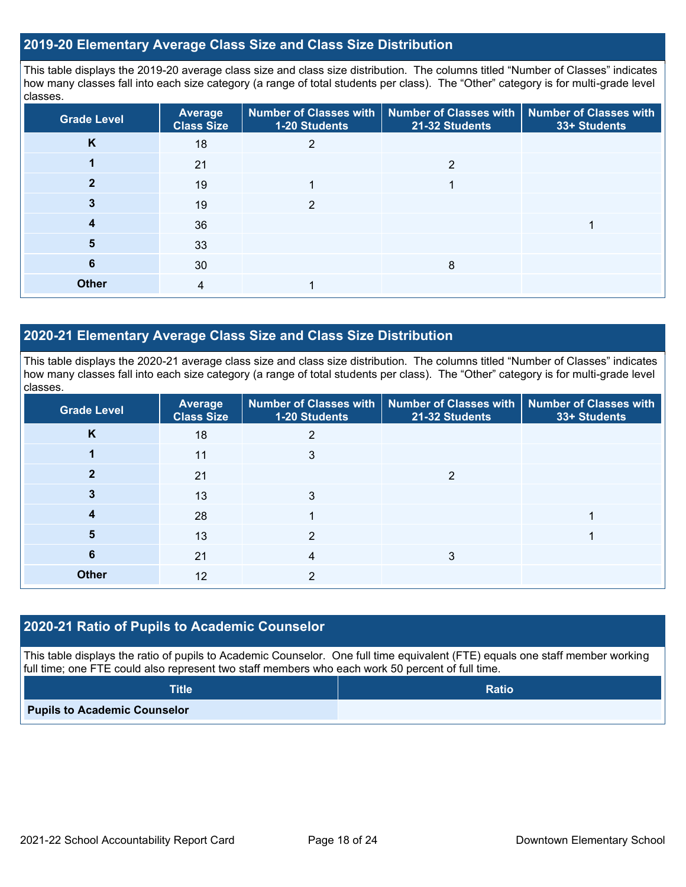### **2019-20 Elementary Average Class Size and Class Size Distribution**

This table displays the 2019-20 average class size and class size distribution. The columns titled "Number of Classes" indicates how many classes fall into each size category (a range of total students per class). The "Other" category is for multi-grade level classes.

| <b>Grade Level</b> | <b>Average</b><br><b>Class Size</b> | <b>Number of Classes with</b><br>1-20 Students | <b>Number of Classes with</b><br>21-32 Students | <b>Number of Classes with</b><br>33+ Students |
|--------------------|-------------------------------------|------------------------------------------------|-------------------------------------------------|-----------------------------------------------|
| K                  | 18                                  | 2                                              |                                                 |                                               |
|                    | 21                                  |                                                | ◠                                               |                                               |
|                    | 19                                  |                                                |                                                 |                                               |
| 3                  | 19                                  | 2                                              |                                                 |                                               |
| 4                  | 36                                  |                                                |                                                 |                                               |
| 5                  | 33                                  |                                                |                                                 |                                               |
| 6                  | 30                                  |                                                | 8                                               |                                               |
| <b>Other</b>       | 4                                   |                                                |                                                 |                                               |

### **2020-21 Elementary Average Class Size and Class Size Distribution**

This table displays the 2020-21 average class size and class size distribution. The columns titled "Number of Classes" indicates how many classes fall into each size category (a range of total students per class). The "Other" category is for multi-grade level classes.

| <b>Grade Level</b> | <b>Average</b><br><b>Class Size</b> | 1-20 Students | Number of Classes with   Number of Classes with   Number of Classes with<br>21-32 Students | 33+ Students |
|--------------------|-------------------------------------|---------------|--------------------------------------------------------------------------------------------|--------------|
| K                  | 18                                  | 2             |                                                                                            |              |
|                    | 11                                  | 3             |                                                                                            |              |
|                    | 21                                  |               | ≘                                                                                          |              |
|                    | 13                                  | 3             |                                                                                            |              |
| 4                  | 28                                  |               |                                                                                            |              |
| 5                  | 13                                  | 2             |                                                                                            |              |
| 6                  | 21                                  | 4             | 3                                                                                          |              |
| <b>Other</b>       | 12                                  | 2             |                                                                                            |              |

#### **2020-21 Ratio of Pupils to Academic Counselor**

This table displays the ratio of pupils to Academic Counselor. One full time equivalent (FTE) equals one staff member working full time; one FTE could also represent two staff members who each work 50 percent of full time.

| <b>Title</b>                        | <b>Ratio</b> |
|-------------------------------------|--------------|
| <b>Pupils to Academic Counselor</b> |              |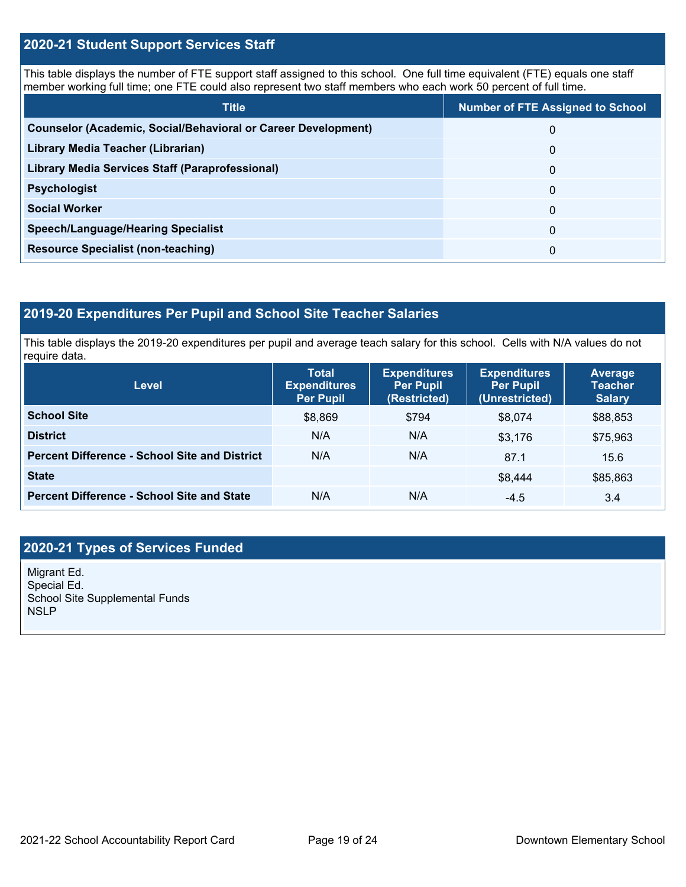### **2020-21 Student Support Services Staff**

This table displays the number of FTE support staff assigned to this school. One full time equivalent (FTE) equals one staff member working full time; one FTE could also represent two staff members who each work 50 percent of full time.

| <b>Title</b>                                                         | <b>Number of FTE Assigned to School</b> |
|----------------------------------------------------------------------|-----------------------------------------|
| <b>Counselor (Academic, Social/Behavioral or Career Development)</b> | 0                                       |
| Library Media Teacher (Librarian)                                    | 0                                       |
| <b>Library Media Services Staff (Paraprofessional)</b>               | 0                                       |
| <b>Psychologist</b>                                                  | 0                                       |
| <b>Social Worker</b>                                                 | $\Omega$                                |
| <b>Speech/Language/Hearing Specialist</b>                            | 0                                       |
| <b>Resource Specialist (non-teaching)</b>                            | 0                                       |

## **2019-20 Expenditures Per Pupil and School Site Teacher Salaries**

This table displays the 2019-20 expenditures per pupil and average teach salary for this school. Cells with N/A values do not require data.

| Level                                                | <b>Total</b><br><b>Expenditures</b><br><b>Per Pupil</b> | <b>Expenditures</b><br><b>Per Pupil</b><br>(Restricted) | <b>Expenditures</b><br><b>Per Pupil</b><br>(Unrestricted) | <b>Average</b><br><b>Teacher</b><br><b>Salary</b> |
|------------------------------------------------------|---------------------------------------------------------|---------------------------------------------------------|-----------------------------------------------------------|---------------------------------------------------|
| <b>School Site</b>                                   | \$8,869                                                 | \$794                                                   | \$8,074                                                   | \$88,853                                          |
| <b>District</b>                                      | N/A                                                     | N/A                                                     | \$3,176                                                   | \$75,963                                          |
| <b>Percent Difference - School Site and District</b> | N/A                                                     | N/A                                                     | 87.1                                                      | 15.6                                              |
| <b>State</b>                                         |                                                         |                                                         | \$8,444                                                   | \$85,863                                          |
| <b>Percent Difference - School Site and State</b>    | N/A                                                     | N/A                                                     | $-4.5$                                                    | 3.4                                               |

## **2020-21 Types of Services Funded**

Migrant Ed. Special Ed. School Site Supplemental Funds **NSLP**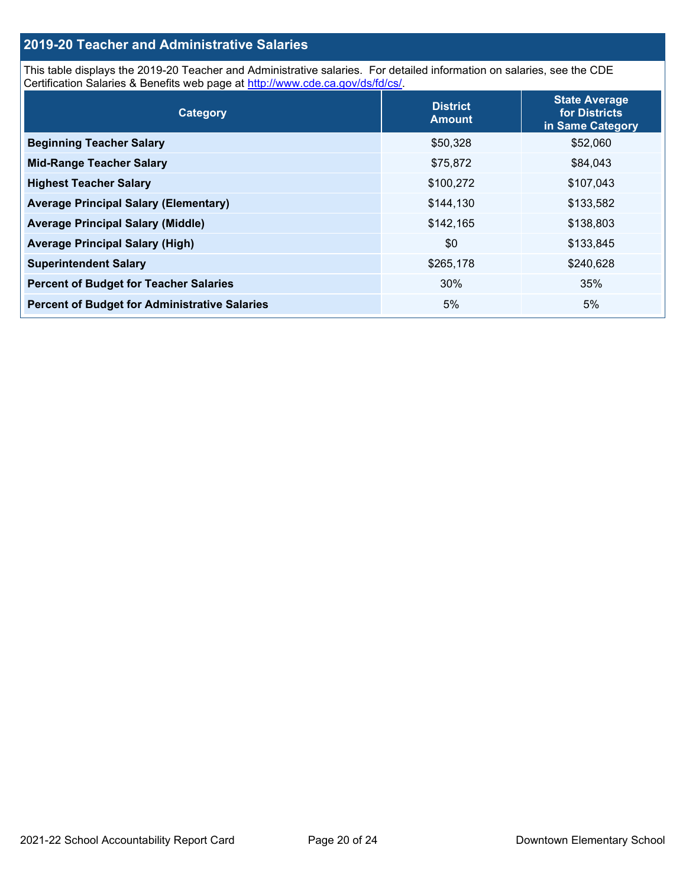## **2019-20 Teacher and Administrative Salaries**

This table displays the 2019-20 Teacher and Administrative salaries. For detailed information on salaries, see the CDE Certification Salaries & Benefits web page at [http://www.cde.ca.gov/ds/fd/cs/.](http://www.cde.ca.gov/ds/fd/cs/)

| Category                                             | <b>District</b><br><b>Amount</b> | <b>State Average</b><br>for Districts<br>in Same Category |
|------------------------------------------------------|----------------------------------|-----------------------------------------------------------|
| <b>Beginning Teacher Salary</b>                      | \$50,328                         | \$52,060                                                  |
| <b>Mid-Range Teacher Salary</b>                      | \$75,872                         | \$84,043                                                  |
| <b>Highest Teacher Salary</b>                        | \$100,272                        | \$107,043                                                 |
| <b>Average Principal Salary (Elementary)</b>         | \$144,130                        | \$133,582                                                 |
| <b>Average Principal Salary (Middle)</b>             | \$142,165                        | \$138,803                                                 |
| <b>Average Principal Salary (High)</b>               | \$0                              | \$133,845                                                 |
| <b>Superintendent Salary</b>                         | \$265,178                        | \$240,628                                                 |
| <b>Percent of Budget for Teacher Salaries</b>        | 30%                              | 35%                                                       |
| <b>Percent of Budget for Administrative Salaries</b> | 5%                               | 5%                                                        |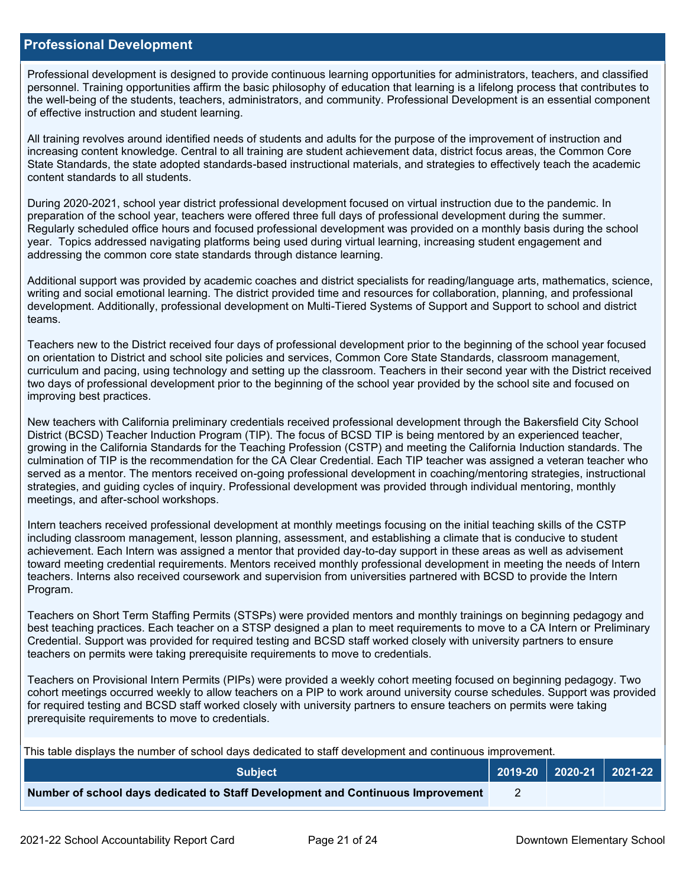#### **Professional Development**

Professional development is designed to provide continuous learning opportunities for administrators, teachers, and classified personnel. Training opportunities affirm the basic philosophy of education that learning is a lifelong process that contributes to the well-being of the students, teachers, administrators, and community. Professional Development is an essential component of effective instruction and student learning.

All training revolves around identified needs of students and adults for the purpose of the improvement of instruction and increasing content knowledge. Central to all training are student achievement data, district focus areas, the Common Core State Standards, the state adopted standards-based instructional materials, and strategies to effectively teach the academic content standards to all students.

During 2020-2021, school year district professional development focused on virtual instruction due to the pandemic. In preparation of the school year, teachers were offered three full days of professional development during the summer. Regularly scheduled office hours and focused professional development was provided on a monthly basis during the school year. Topics addressed navigating platforms being used during virtual learning, increasing student engagement and addressing the common core state standards through distance learning.

Additional support was provided by academic coaches and district specialists for reading/language arts, mathematics, science, writing and social emotional learning. The district provided time and resources for collaboration, planning, and professional development. Additionally, professional development on Multi-Tiered Systems of Support and Support to school and district teams.

Teachers new to the District received four days of professional development prior to the beginning of the school year focused on orientation to District and school site policies and services, Common Core State Standards, classroom management, curriculum and pacing, using technology and setting up the classroom. Teachers in their second year with the District received two days of professional development prior to the beginning of the school year provided by the school site and focused on improving best practices.

New teachers with California preliminary credentials received professional development through the Bakersfield City School District (BCSD) Teacher Induction Program (TIP). The focus of BCSD TIP is being mentored by an experienced teacher, growing in the California Standards for the Teaching Profession (CSTP) and meeting the California Induction standards. The culmination of TIP is the recommendation for the CA Clear Credential. Each TIP teacher was assigned a veteran teacher who served as a mentor. The mentors received on-going professional development in coaching/mentoring strategies, instructional strategies, and guiding cycles of inquiry. Professional development was provided through individual mentoring, monthly meetings, and after-school workshops.

Intern teachers received professional development at monthly meetings focusing on the initial teaching skills of the CSTP including classroom management, lesson planning, assessment, and establishing a climate that is conducive to student achievement. Each Intern was assigned a mentor that provided day-to-day support in these areas as well as advisement toward meeting credential requirements. Mentors received monthly professional development in meeting the needs of Intern teachers. Interns also received coursework and supervision from universities partnered with BCSD to provide the Intern Program.

Teachers on Short Term Staffing Permits (STSPs) were provided mentors and monthly trainings on beginning pedagogy and best teaching practices. Each teacher on a STSP designed a plan to meet requirements to move to a CA Intern or Preliminary Credential. Support was provided for required testing and BCSD staff worked closely with university partners to ensure teachers on permits were taking prerequisite requirements to move to credentials.

Teachers on Provisional Intern Permits (PIPs) were provided a weekly cohort meeting focused on beginning pedagogy. Two cohort meetings occurred weekly to allow teachers on a PIP to work around university course schedules. Support was provided for required testing and BCSD staff worked closely with university partners to ensure teachers on permits were taking prerequisite requirements to move to credentials.

This table displays the number of school days dedicated to staff development and continuous improvement.

| <b>Subiect</b>                                                                  |  | $2019-20$ 2020-21 2021-22 |
|---------------------------------------------------------------------------------|--|---------------------------|
| Number of school days dedicated to Staff Development and Continuous Improvement |  |                           |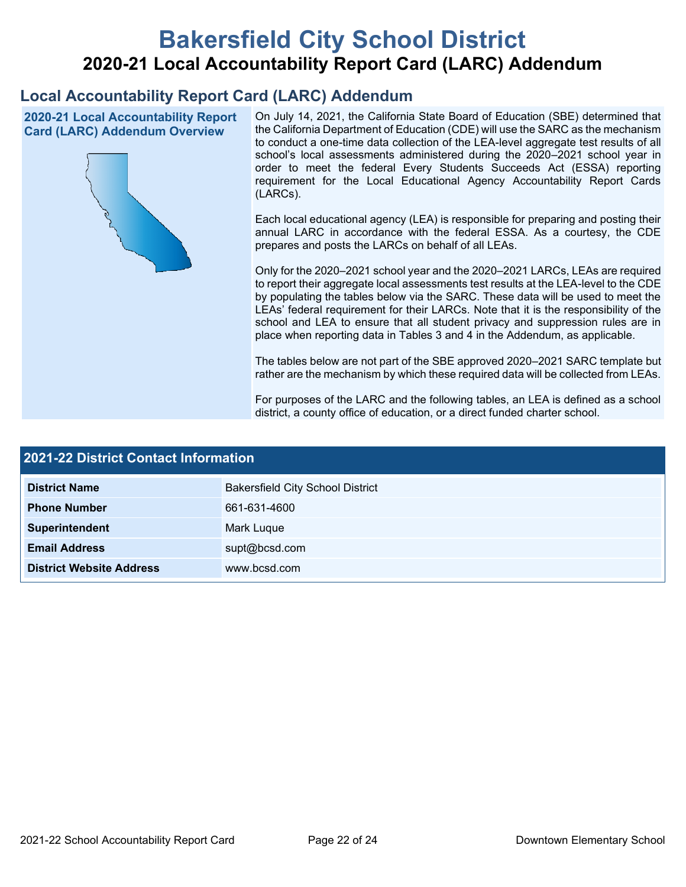# **Bakersfield City School District 2020-21 Local Accountability Report Card (LARC) Addendum**

## **Local Accountability Report Card (LARC) Addendum**

**2020-21 Local Accountability Report Card (LARC) Addendum Overview**



On July 14, 2021, the California State Board of Education (SBE) determined that the California Department of Education (CDE) will use the SARC as the mechanism to conduct a one-time data collection of the LEA-level aggregate test results of all school's local assessments administered during the 2020–2021 school year in order to meet the federal Every Students Succeeds Act (ESSA) reporting requirement for the Local Educational Agency Accountability Report Cards (LARCs).

Each local educational agency (LEA) is responsible for preparing and posting their annual LARC in accordance with the federal ESSA. As a courtesy, the CDE prepares and posts the LARCs on behalf of all LEAs.

Only for the 2020–2021 school year and the 2020–2021 LARCs, LEAs are required to report their aggregate local assessments test results at the LEA-level to the CDE by populating the tables below via the SARC. These data will be used to meet the LEAs' federal requirement for their LARCs. Note that it is the responsibility of the school and LEA to ensure that all student privacy and suppression rules are in place when reporting data in Tables 3 and 4 in the Addendum, as applicable.

The tables below are not part of the SBE approved 2020–2021 SARC template but rather are the mechanism by which these required data will be collected from LEAs.

For purposes of the LARC and the following tables, an LEA is defined as a school district, a county office of education, or a direct funded charter school.

| <b>2021-22 District Contact Information</b> |                                         |  |  |  |
|---------------------------------------------|-----------------------------------------|--|--|--|
| <b>District Name</b>                        | <b>Bakersfield City School District</b> |  |  |  |
| <b>Phone Number</b>                         | 661-631-4600                            |  |  |  |
| Superintendent                              | Mark Luque                              |  |  |  |
| <b>Email Address</b>                        | supt@bcsd.com                           |  |  |  |
| <b>District Website Address</b>             | www.bcsd.com                            |  |  |  |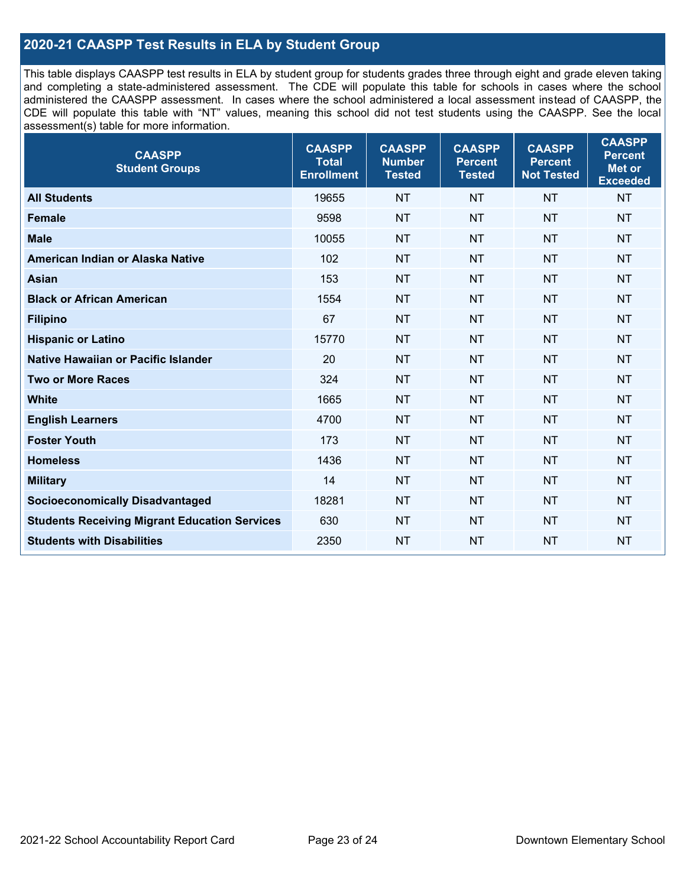## **2020-21 CAASPP Test Results in ELA by Student Group**

This table displays CAASPP test results in ELA by student group for students grades three through eight and grade eleven taking and completing a state-administered assessment. The CDE will populate this table for schools in cases where the school administered the CAASPP assessment. In cases where the school administered a local assessment instead of CAASPP, the CDE will populate this table with "NT" values, meaning this school did not test students using the CAASPP. See the local assessment(s) table for more information.

| <b>CAASPP</b><br><b>Student Groups</b>               | <b>CAASPP</b><br><b>Total</b><br><b>Enrollment</b> | <b>CAASPP</b><br><b>Number</b><br><b>Tested</b> | <b>CAASPP</b><br><b>Percent</b><br><b>Tested</b> | <b>CAASPP</b><br><b>Percent</b><br><b>Not Tested</b> | <b>CAASPP</b><br><b>Percent</b><br>Met or<br><b>Exceeded</b> |
|------------------------------------------------------|----------------------------------------------------|-------------------------------------------------|--------------------------------------------------|------------------------------------------------------|--------------------------------------------------------------|
| <b>All Students</b>                                  | 19655                                              | <b>NT</b>                                       | <b>NT</b>                                        | <b>NT</b>                                            | <b>NT</b>                                                    |
| <b>Female</b>                                        | 9598                                               | <b>NT</b>                                       | <b>NT</b>                                        | <b>NT</b>                                            | <b>NT</b>                                                    |
| <b>Male</b>                                          | 10055                                              | <b>NT</b>                                       | <b>NT</b>                                        | <b>NT</b>                                            | <b>NT</b>                                                    |
| American Indian or Alaska Native                     | 102                                                | <b>NT</b>                                       | <b>NT</b>                                        | <b>NT</b>                                            | <b>NT</b>                                                    |
| <b>Asian</b>                                         | 153                                                | <b>NT</b>                                       | <b>NT</b>                                        | <b>NT</b>                                            | <b>NT</b>                                                    |
| <b>Black or African American</b>                     | 1554                                               | <b>NT</b>                                       | <b>NT</b>                                        | <b>NT</b>                                            | NT                                                           |
| <b>Filipino</b>                                      | 67                                                 | <b>NT</b>                                       | <b>NT</b>                                        | <b>NT</b>                                            | <b>NT</b>                                                    |
| <b>Hispanic or Latino</b>                            | 15770                                              | <b>NT</b>                                       | <b>NT</b>                                        | <b>NT</b>                                            | <b>NT</b>                                                    |
| Native Hawaiian or Pacific Islander                  | 20                                                 | <b>NT</b>                                       | <b>NT</b>                                        | <b>NT</b>                                            | <b>NT</b>                                                    |
| <b>Two or More Races</b>                             | 324                                                | <b>NT</b>                                       | <b>NT</b>                                        | <b>NT</b>                                            | <b>NT</b>                                                    |
| <b>White</b>                                         | 1665                                               | <b>NT</b>                                       | <b>NT</b>                                        | <b>NT</b>                                            | <b>NT</b>                                                    |
| <b>English Learners</b>                              | 4700                                               | <b>NT</b>                                       | <b>NT</b>                                        | <b>NT</b>                                            | <b>NT</b>                                                    |
| <b>Foster Youth</b>                                  | 173                                                | <b>NT</b>                                       | <b>NT</b>                                        | <b>NT</b>                                            | <b>NT</b>                                                    |
| <b>Homeless</b>                                      | 1436                                               | <b>NT</b>                                       | <b>NT</b>                                        | <b>NT</b>                                            | <b>NT</b>                                                    |
| <b>Military</b>                                      | 14                                                 | <b>NT</b>                                       | <b>NT</b>                                        | <b>NT</b>                                            | <b>NT</b>                                                    |
| <b>Socioeconomically Disadvantaged</b>               | 18281                                              | <b>NT</b>                                       | <b>NT</b>                                        | <b>NT</b>                                            | <b>NT</b>                                                    |
| <b>Students Receiving Migrant Education Services</b> | 630                                                | <b>NT</b>                                       | <b>NT</b>                                        | <b>NT</b>                                            | NT                                                           |
| <b>Students with Disabilities</b>                    | 2350                                               | <b>NT</b>                                       | <b>NT</b>                                        | <b>NT</b>                                            | NT                                                           |